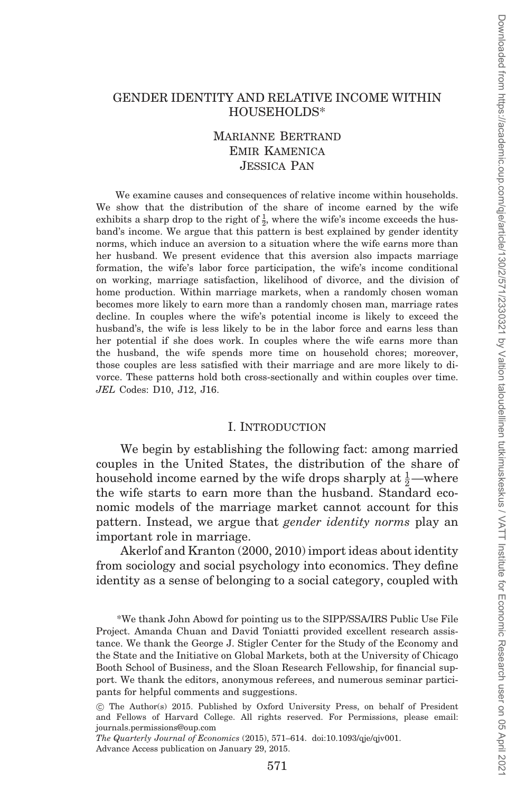## GENDER IDENTITY AND RELATIVE INCOME WITHIN HOUSEHOLDS\*

## Marianne Bertrand Emir Kamenica Jessica Pan

We examine causes and consequences of relative income within households. We show that the distribution of the share of income earned by the wife exhibits a sharp drop to the right of  $\frac{1}{2}$ , where the wife's income exceeds the husband's income. We argue that this pattern is best explained by gender identity norms, which induce an aversion to a situation where the wife earns more than her husband. We present evidence that this aversion also impacts marriage formation, the wife's labor force participation, the wife's income conditional on working, marriage satisfaction, likelihood of divorce, and the division of home production. Within marriage markets, when a randomly chosen woman becomes more likely to earn more than a randomly chosen man, marriage rates decline. In couples where the wife's potential income is likely to exceed the husband's, the wife is less likely to be in the labor force and earns less than her potential if she does work. In couples where the wife earns more than the husband, the wife spends more time on household chores; moreover, those couples are less satisfied with their marriage and are more likely to divorce. These patterns hold both cross-sectionally and within couples over time. *JEL* Codes: D10, J12, J16.

### I. INTRODUCTION

We begin by establishing the following fact: among married couples in the United States, the distribution of the share of household income earned by the wife drops sharply at  $\frac{1}{2}$ —where the wife starts to earn more than the husband. Standard economic models of the marriage market cannot account for this pattern. Instead, we argue that *gender identity norms* play an important role in marriage.

Akerlof and Kranton (2000, 2010) import ideas about identity from sociology and social psychology into economics. They define identity as a sense of belonging to a social category, coupled with

\*We thank John Abowd for pointing us to the SIPP/SSA/IRS Public Use File Project. Amanda Chuan and David Toniatti provided excellent research assistance. We thank the George J. Stigler Center for the Study of the Economy and the State and the Initiative on Global Markets, both at the University of Chicago Booth School of Business, and the Sloan Research Fellowship, for financial support. We thank the editors, anonymous referees, and numerous seminar participants for helpful comments and suggestions.

*The Quarterly Journal of Economics* (2015), 571–614. doi:10.1093/qje/qjv001. Advance Access publication on January 29, 2015.

<sup>!</sup> The Author(s) 2015. Published by Oxford University Press, on behalf of President and Fellows of Harvard College. All rights reserved. For Permissions, please email: journals.permissions@oup.com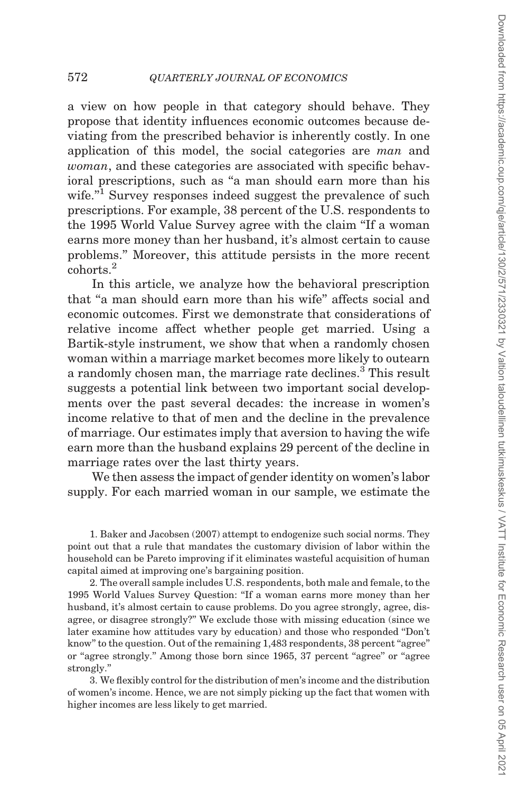a view on how people in that category should behave. They propose that identity influences economic outcomes because deviating from the prescribed behavior is inherently costly. In one application of this model, the social categories are *man* and *woman*, and these categories are associated with specific behavioral prescriptions, such as ''a man should earn more than his wife."<sup>1</sup> Survey responses indeed suggest the prevalence of such prescriptions. For example, 38 percent of the U.S. respondents to the 1995 World Value Survey agree with the claim ''If a woman earns more money than her husband, it's almost certain to cause problems.'' Moreover, this attitude persists in the more recent cohorts.<sup>2</sup>

In this article, we analyze how the behavioral prescription that ''a man should earn more than his wife'' affects social and economic outcomes. First we demonstrate that considerations of relative income affect whether people get married. Using a Bartik-style instrument, we show that when a randomly chosen woman within a marriage market becomes more likely to outearn a randomly chosen man, the marriage rate declines.<sup>3</sup> This result suggests a potential link between two important social developments over the past several decades: the increase in women's income relative to that of men and the decline in the prevalence of marriage. Our estimates imply that aversion to having the wife earn more than the husband explains 29 percent of the decline in marriage rates over the last thirty years.

We then assess the impact of gender identity on women's labor supply. For each married woman in our sample, we estimate the

1. Baker and Jacobsen (2007) attempt to endogenize such social norms. They point out that a rule that mandates the customary division of labor within the household can be Pareto improving if it eliminates wasteful acquisition of human capital aimed at improving one's bargaining position.

2. The overall sample includes U.S. respondents, both male and female, to the 1995 World Values Survey Question: ''If a woman earns more money than her husband, it's almost certain to cause problems. Do you agree strongly, agree, disagree, or disagree strongly?'' We exclude those with missing education (since we later examine how attitudes vary by education) and those who responded ''Don't know" to the question. Out of the remaining 1,483 respondents, 38 percent "agree" or "agree strongly." Among those born since 1965, 37 percent "agree" or "agree strongly.''

3. We flexibly control for the distribution of men's income and the distribution of women's income. Hence, we are not simply picking up the fact that women with higher incomes are less likely to get married.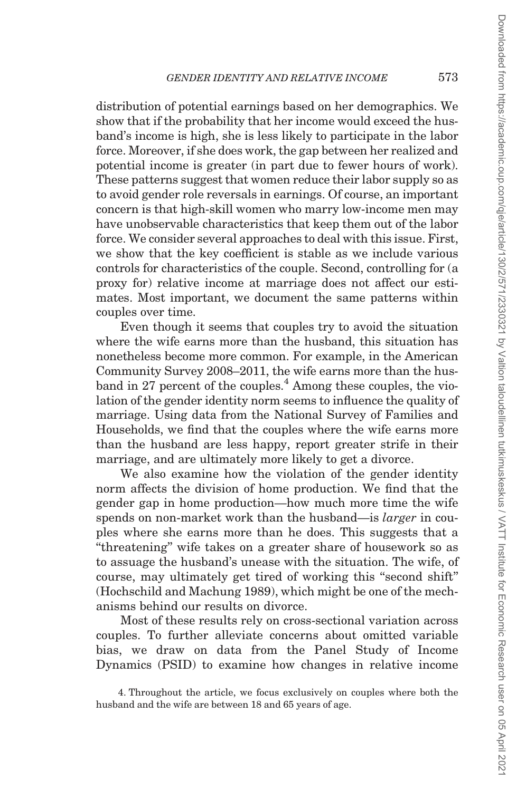distribution of potential earnings based on her demographics. We show that if the probability that her income would exceed the husband's income is high, she is less likely to participate in the labor force. Moreover, if she does work, the gap between her realized and potential income is greater (in part due to fewer hours of work). These patterns suggest that women reduce their labor supply so as to avoid gender role reversals in earnings. Of course, an important concern is that high-skill women who marry low-income men may have unobservable characteristics that keep them out of the labor force. We consider several approaches to deal with this issue. First, we show that the key coefficient is stable as we include various controls for characteristics of the couple. Second, controlling for (a proxy for) relative income at marriage does not affect our estimates. Most important, we document the same patterns within couples over time.

Even though it seems that couples try to avoid the situation where the wife earns more than the husband, this situation has nonetheless become more common. For example, in the American Community Survey 2008–2011, the wife earns more than the husband in 27 percent of the couples. $4$  Among these couples, the violation of the gender identity norm seems to influence the quality of marriage. Using data from the National Survey of Families and Households, we find that the couples where the wife earns more than the husband are less happy, report greater strife in their marriage, and are ultimately more likely to get a divorce.

We also examine how the violation of the gender identity norm affects the division of home production. We find that the gender gap in home production—how much more time the wife spends on non-market work than the husband—is *larger* in couples where she earns more than he does. This suggests that a ''threatening'' wife takes on a greater share of housework so as to assuage the husband's unease with the situation. The wife, of course, may ultimately get tired of working this ''second shift'' (Hochschild and Machung 1989), which might be one of the mechanisms behind our results on divorce.

Most of these results rely on cross-sectional variation across couples. To further alleviate concerns about omitted variable bias, we draw on data from the Panel Study of Income Dynamics (PSID) to examine how changes in relative income

<sup>4.</sup> Throughout the article, we focus exclusively on couples where both the husband and the wife are between 18 and 65 years of age.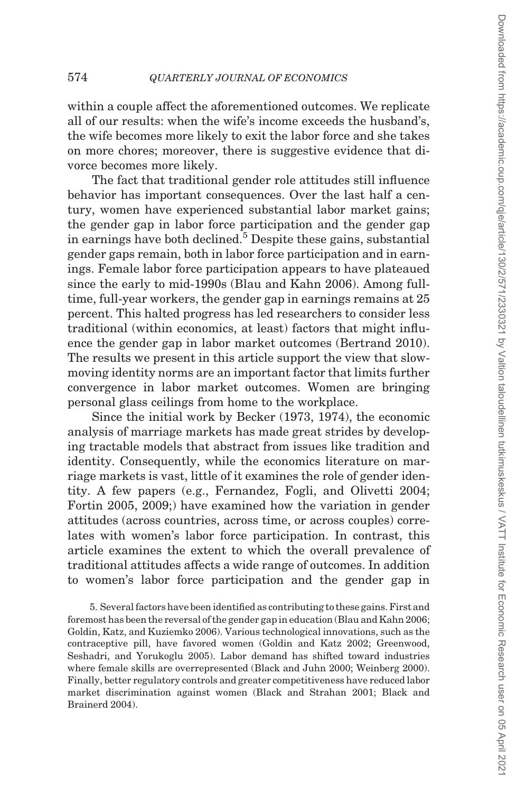within a couple affect the aforementioned outcomes. We replicate all of our results: when the wife's income exceeds the husband's, the wife becomes more likely to exit the labor force and she takes on more chores; moreover, there is suggestive evidence that divorce becomes more likely.

The fact that traditional gender role attitudes still influence behavior has important consequences. Over the last half a century, women have experienced substantial labor market gains; the gender gap in labor force participation and the gender gap in earnings have both declined.<sup>5</sup> Despite these gains, substantial gender gaps remain, both in labor force participation and in earnings. Female labor force participation appears to have plateaued since the early to mid-1990s (Blau and Kahn 2006). Among fulltime, full-year workers, the gender gap in earnings remains at 25 percent. This halted progress has led researchers to consider less traditional (within economics, at least) factors that might influence the gender gap in labor market outcomes (Bertrand 2010). The results we present in this article support the view that slowmoving identity norms are an important factor that limits further convergence in labor market outcomes. Women are bringing personal glass ceilings from home to the workplace.

Since the initial work by Becker (1973, 1974), the economic analysis of marriage markets has made great strides by developing tractable models that abstract from issues like tradition and identity. Consequently, while the economics literature on marriage markets is vast, little of it examines the role of gender identity. A few papers (e.g., Fernandez, Fogli, and Olivetti 2004; Fortin 2005, 2009;) have examined how the variation in gender attitudes (across countries, across time, or across couples) correlates with women's labor force participation. In contrast, this article examines the extent to which the overall prevalence of traditional attitudes affects a wide range of outcomes. In addition to women's labor force participation and the gender gap in

5. Several factors have been identified as contributing to these gains. First and foremost has been the reversal of the gender gap in education (Blau and Kahn 2006; Goldin, Katz, and Kuziemko 2006). Various technological innovations, such as the contraceptive pill, have favored women (Goldin and Katz 2002; Greenwood, Seshadri, and Yorukoglu 2005). Labor demand has shifted toward industries where female skills are overrepresented (Black and Juhn 2000; Weinberg 2000). Finally, better regulatory controls and greater competitiveness have reduced labor market discrimination against women (Black and Strahan 2001; Black and Brainerd 2004).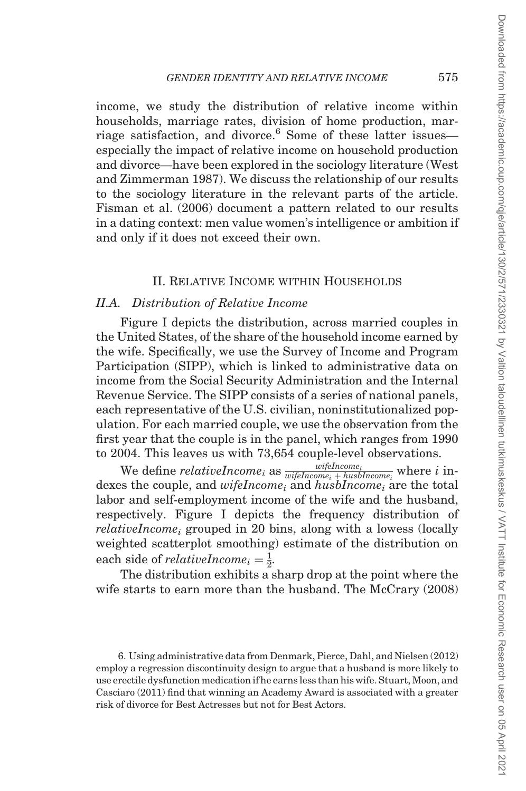income, we study the distribution of relative income within households, marriage rates, division of home production, marriage satisfaction, and divorce.<sup>6</sup> Some of these latter issuesespecially the impact of relative income on household production and divorce—have been explored in the sociology literature (West and Zimmerman 1987). We discuss the relationship of our results to the sociology literature in the relevant parts of the article. Fisman et al. (2006) document a pattern related to our results in a dating context: men value women's intelligence or ambition if and only if it does not exceed their own.

## II. RELATIVE INCOME WITHIN HOUSEHOLDS

### *II.A. Distribution of Relative Income*

Figure I depicts the distribution, across married couples in the United States, of the share of the household income earned by the wife. Specifically, we use the Survey of Income and Program Participation (SIPP), which is linked to administrative data on income from the Social Security Administration and the Internal Revenue Service. The SIPP consists of a series of national panels, each representative of the U.S. civilian, noninstitutionalized population. For each married couple, we use the observation from the first year that the couple is in the panel, which ranges from 1990 to 2004. This leaves us with 73,654 couple-level observations.

We define  $relativeIncome_i$  as  $\frac{wifelnceme_i}{wifelncome_i + husbIncome_i}$  where *i* indexes the couple, and *wifeIncome<sup>i</sup>* and *husbIncome<sup>i</sup>* are the total labor and self-employment income of the wife and the husband, respectively. Figure I depicts the frequency distribution of *relativeIncome<sup>i</sup>* grouped in 20 bins, along with a lowess (locally weighted scatterplot smoothing) estimate of the distribution on each side of *relativeIncome*<sub>*i*</sub> =  $\frac{1}{2}$ .

The distribution exhibits a sharp drop at the point where the wife starts to earn more than the husband. The McCrary  $(2008)$ 

<sup>6.</sup> Using administrative data from Denmark, Pierce, Dahl, and Nielsen (2012) employ a regression discontinuity design to argue that a husband is more likely to use erectile dysfunction medication if he earns less than his wife. Stuart, Moon, and Casciaro (2011) find that winning an Academy Award is associated with a greater risk of divorce for Best Actresses but not for Best Actors.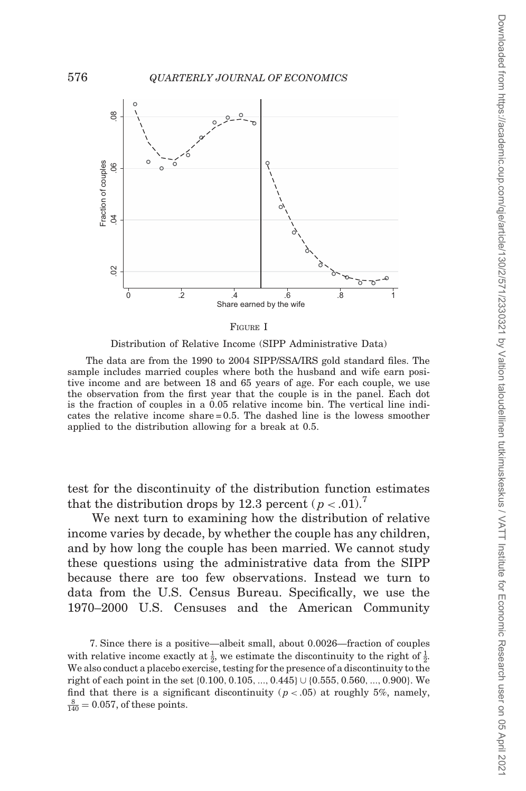

FIGURE I

Distribution of Relative Income (SIPP Administrative Data)

The data are from the 1990 to 2004 SIPP/SSA/IRS gold standard files. The sample includes married couples where both the husband and wife earn positive income and are between 18 and 65 years of age. For each couple, we use the observation from the first year that the couple is in the panel. Each dot is the fraction of couples in a 0.05 relative income bin. The vertical line indicates the relative income share = 0.5. The dashed line is the lowess smoother applied to the distribution allowing for a break at 0.5.

test for the discontinuity of the distribution function estimates that the distribution drops by 12.3 percent ( $p < .01$ ).<sup>7</sup>

We next turn to examining how the distribution of relative income varies by decade, by whether the couple has any children, and by how long the couple has been married. We cannot study these questions using the administrative data from the SIPP because there are too few observations. Instead we turn to data from the U.S. Census Bureau. Specifically, we use the

<sup>7.</sup> Since there is a positive—albeit small, about 0.0026—fraction of couples with relative income exactly at  $\frac{1}{2}$ , we estimate the discontinuity to the right of  $\frac{1}{2}$ . We also conduct a placebo exercise, testing for the presence of a discontinuity to the right of each point in the set  $\{0.100, 0.105, ..., 0.445\} \cup \{0.555, 0.560, ..., 0.900\}$ . We find that there is a significant discontinuity ( $p < .05$ ) at roughly 5%, namely,  $\frac{8}{140}$  = 0.057, of these points.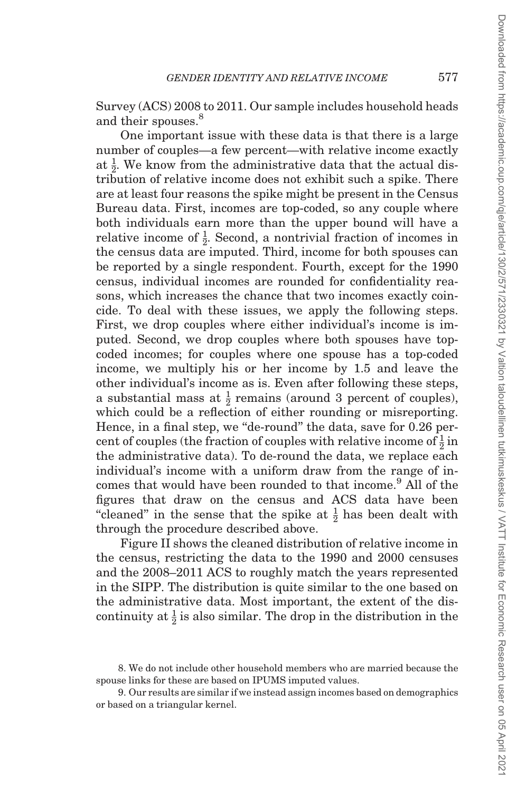Survey (ACS) 2008 to 2011. Our sample includes household heads and their spouses.<sup>8</sup>

One important issue with these data is that there is a large number of couples—a few percent—with relative income exactly at  $\frac{1}{2}$ . We know from the administrative data that the actual distribution of relative income does not exhibit such a spike. There are at least four reasons the spike might be present in the Census Bureau data. First, incomes are top-coded, so any couple where both individuals earn more than the upper bound will have a relative income of  $\frac{1}{2}$ . Second, a nontrivial fraction of incomes in the census data are imputed. Third, income for both spouses can be reported by a single respondent. Fourth, except for the 1990 census, individual incomes are rounded for confidentiality reasons, which increases the chance that two incomes exactly coincide. To deal with these issues, we apply the following steps. First, we drop couples where either individual's income is imputed. Second, we drop couples where both spouses have topcoded incomes; for couples where one spouse has a top-coded income, we multiply his or her income by 1.5 and leave the other individual's income as is. Even after following these steps, a substantial mass at  $\frac{1}{2}$  remains (around 3 percent of couples), which could be a reflection of either rounding or misreporting. Hence, in a final step, we "de-round" the data, save for 0.26 percent of couples (the fraction of couples with relative income of  $\frac{1}{2}$  in the administrative data). To de-round the data, we replace each individual's income with a uniform draw from the range of incomes that would have been rounded to that income.<sup>9</sup> All of the figures that draw on the census and ACS data have been "cleaned" in the sense that the spike at  $\frac{1}{2}$  has been dealt with through the procedure described above.

Figure II shows the cleaned distribution of relative income in the census, restricting the data to the 1990 and 2000 censuses and the 2008–2011 ACS to roughly match the years represented in the SIPP. The distribution is quite similar to the one based on the administrative data. Most important, the extent of the discontinuity at  $\frac{1}{2}$  is also similar. The drop in the distribution in the

Downloaded from https://academic.oup.com/gle/article/130/21671/2330321 by Valtion taloudellinen tutkimuskeskus / VATT Institute for Economic Research user on 05 April 202 Downloaded from https://academic.oup.com/qje/article/130/2/571/2330321 by Valtion taloudellinen tutkimuskeskus / VATT Institute for Economic Research user on 05 April 2021

<sup>8.</sup> We do not include other household members who are married because the spouse links for these are based on IPUMS imputed values.

<sup>9.</sup> Our results are similar if we instead assign incomes based on demographics or based on a triangular kernel.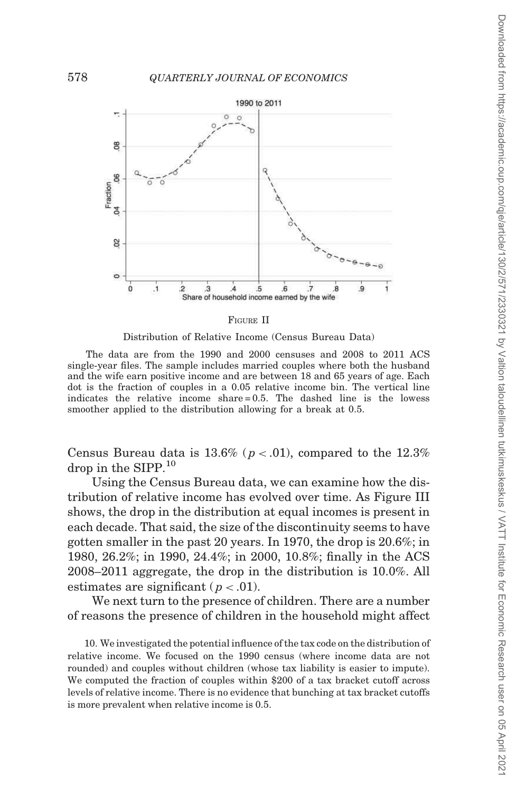

FIGURE II

Distribution of Relative Income (Census Bureau Data)

The data are from the 1990 and 2000 censuses and 2008 to 2011 ACS single-year files. The sample includes married couples where both the husband and the wife earn positive income and are between 18 and 65 years of age. Each dot is the fraction of couples in a 0.05 relative income bin. The vertical line indicates the relative income share  $= 0.5$ . The dashed line is the lowess smoother applied to the distribution allowing for a break at 0.5.

Census Bureau data is  $13.6\%$  ( $p < .01$ ), compared to the  $12.3\%$ drop in the SIPP.<sup>10</sup>

Using the Census Bureau data, we can examine how the distribution of relative income has evolved over time. As Figure III shows, the drop in the distribution at equal incomes is present in each decade. That said, the size of the discontinuity seems to have gotten smaller in the past 20 years. In 1970, the drop is 20.6%; in 1980, 26.2%; in 1990, 24.4%; in 2000, 10.8%; finally in the ACS 2008–2011 aggregate, the drop in the distribution is 10.0%. All estimates are significant ( $p < .01$ ).

We next turn to the presence of children. There are a number of reasons the presence of children in the household might affect

10. We investigated the potential influence of the tax code on the distribution of relative income. We focused on the 1990 census (where income data are not rounded) and couples without children (whose tax liability is easier to impute). We computed the fraction of couples within \$200 of a tax bracket cutoff across levels of relative income. There is no evidence that bunching at tax bracket cutoffs is more prevalent when relative income is 0.5.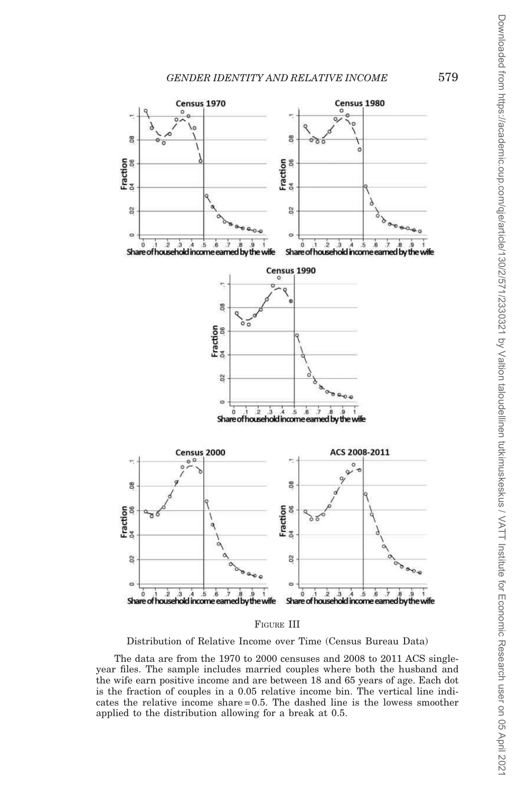

FIGURE III

Distribution of Relative Income over Time (Census Bureau Data)

The data are from the 1970 to 2000 censuses and 2008 to 2011 ACS singleyear files. The sample includes married couples where both the husband and the wife earn positive income and are between 18 and 65 years of age. Each dot is the fraction of couples in a 0.05 relative income bin. The vertical line indicates the relative income share = 0.5. The dashed line is the lowess smoother applied to the distribution allowing for a break at 0.5.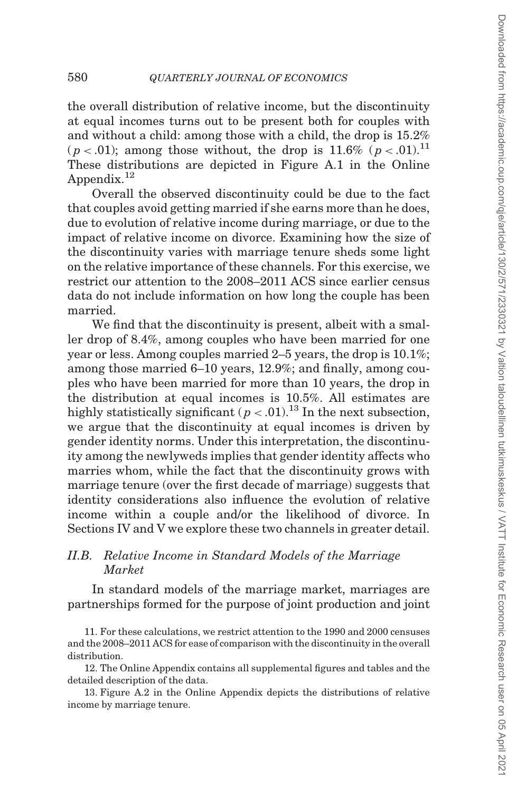the overall distribution of relative income, but the discontinuity at equal incomes turns out to be present both for couples with and without a child: among those with a child, the drop is 15.2% ( $p < .01$ ); among those without, the drop is 11.6% ( $p < .01$ ).<sup>11</sup> These distributions are depicted in Figure A.1 in the Online Appendix.<sup>12</sup>

Overall the observed discontinuity could be due to the fact that couples avoid getting married if she earns more than he does, due to evolution of relative income during marriage, or due to the impact of relative income on divorce. Examining how the size of the discontinuity varies with marriage tenure sheds some light on the relative importance of these channels. For this exercise, we restrict our attention to the 2008–2011 ACS since earlier census data do not include information on how long the couple has been married.

We find that the discontinuity is present, albeit with a smaller drop of 8.4%, among couples who have been married for one year or less. Among couples married 2–5 years, the drop is 10.1%; among those married 6–10 years, 12.9%; and finally, among couples who have been married for more than 10 years, the drop in the distribution at equal incomes is 10.5%. All estimates are highly statistically significant ( $p < .01$ ).<sup>13</sup> In the next subsection, we argue that the discontinuity at equal incomes is driven by gender identity norms. Under this interpretation, the discontinuity among the newlyweds implies that gender identity affects who marries whom, while the fact that the discontinuity grows with marriage tenure (over the first decade of marriage) suggests that identity considerations also influence the evolution of relative income within a couple and/or the likelihood of divorce. In Sections IV and V we explore these two channels in greater detail.

## *II.B. Relative Income in Standard Models of the Marriage Market*

In standard models of the marriage market, marriages are partnerships formed for the purpose of joint production and joint

<sup>11.</sup> For these calculations, we restrict attention to the 1990 and 2000 censuses and the 2008–2011 ACS for ease of comparison with the discontinuity in the overall distribution.

<sup>12.</sup> The Online Appendix contains all supplemental figures and tables and the detailed description of the data.

<sup>13.</sup> Figure A.2 in the Online Appendix depicts the distributions of relative income by marriage tenure.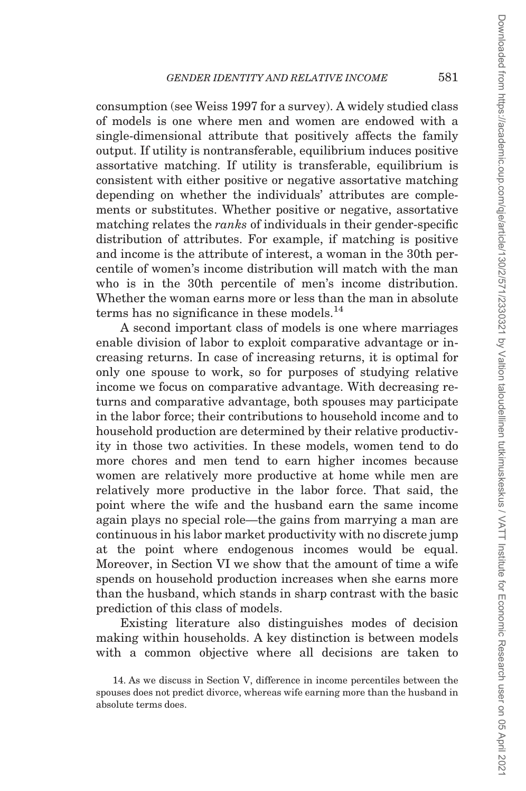consumption (see Weiss 1997 for a survey). A widely studied class of models is one where men and women are endowed with a single-dimensional attribute that positively affects the family output. If utility is nontransferable, equilibrium induces positive assortative matching. If utility is transferable, equilibrium is consistent with either positive or negative assortative matching depending on whether the individuals' attributes are complements or substitutes. Whether positive or negative, assortative matching relates the *ranks* of individuals in their gender-specific distribution of attributes. For example, if matching is positive and income is the attribute of interest, a woman in the 30th percentile of women's income distribution will match with the man who is in the 30th percentile of men's income distribution. Whether the woman earns more or less than the man in absolute terms has no significance in these models. $^{14}$ 

A second important class of models is one where marriages enable division of labor to exploit comparative advantage or increasing returns. In case of increasing returns, it is optimal for only one spouse to work, so for purposes of studying relative income we focus on comparative advantage. With decreasing returns and comparative advantage, both spouses may participate in the labor force; their contributions to household income and to household production are determined by their relative productivity in those two activities. In these models, women tend to do more chores and men tend to earn higher incomes because women are relatively more productive at home while men are relatively more productive in the labor force. That said, the point where the wife and the husband earn the same income again plays no special role—the gains from marrying a man are continuous in his labor market productivity with no discrete jump at the point where endogenous incomes would be equal. Moreover, in Section VI we show that the amount of time a wife spends on household production increases when she earns more than the husband, which stands in sharp contrast with the basic prediction of this class of models.

Existing literature also distinguishes modes of decision making within households. A key distinction is between models with a common objective where all decisions are taken to

<sup>14.</sup> As we discuss in Section V, difference in income percentiles between the spouses does not predict divorce, whereas wife earning more than the husband in absolute terms does.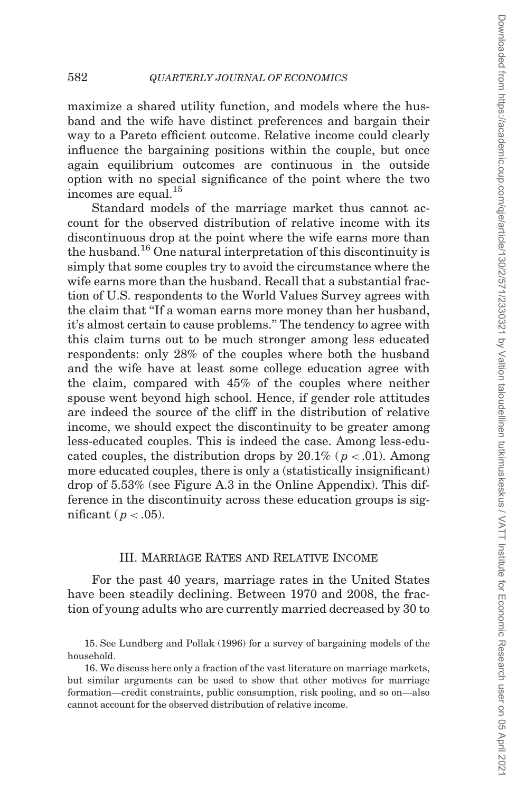maximize a shared utility function, and models where the husband and the wife have distinct preferences and bargain their way to a Pareto efficient outcome. Relative income could clearly influence the bargaining positions within the couple, but once again equilibrium outcomes are continuous in the outside option with no special significance of the point where the two incomes are equal.<sup>15</sup>

Standard models of the marriage market thus cannot account for the observed distribution of relative income with its discontinuous drop at the point where the wife earns more than the husband.<sup>16</sup> One natural interpretation of this discontinuity is simply that some couples try to avoid the circumstance where the wife earns more than the husband. Recall that a substantial fraction of U.S. respondents to the World Values Survey agrees with the claim that ''If a woman earns more money than her husband, it's almost certain to cause problems.'' The tendency to agree with this claim turns out to be much stronger among less educated respondents: only 28% of the couples where both the husband and the wife have at least some college education agree with the claim, compared with 45% of the couples where neither spouse went beyond high school. Hence, if gender role attitudes are indeed the source of the cliff in the distribution of relative income, we should expect the discontinuity to be greater among less-educated couples. This is indeed the case. Among less-educated couples, the distribution drops by  $20.1\%$  ( $p < .01$ ). Among more educated couples, there is only a (statistically insignificant) drop of 5.53% (see Figure A.3 in the Online Appendix). This difference in the discontinuity across these education groups is significant ( $p < .05$ ).

### III. Marriage Rates and Relative Income

For the past 40 years, marriage rates in the United States have been steadily declining. Between 1970 and 2008, the fraction of young adults who are currently married decreased by 30 to

<sup>15.</sup> See Lundberg and Pollak (1996) for a survey of bargaining models of the household.

<sup>16.</sup> We discuss here only a fraction of the vast literature on marriage markets, but similar arguments can be used to show that other motives for marriage formation—credit constraints, public consumption, risk pooling, and so on—also cannot account for the observed distribution of relative income.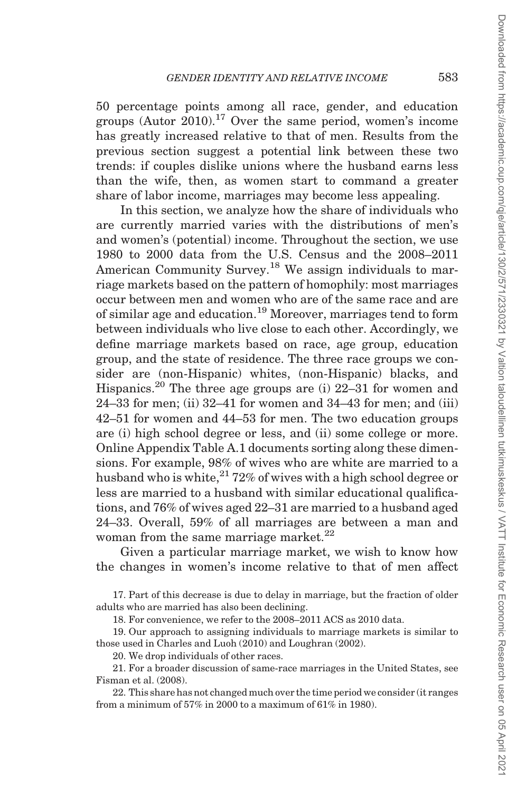50 percentage points among all race, gender, and education groups (Autor  $2010$ ).<sup>17</sup> Over the same period, women's income has greatly increased relative to that of men. Results from the previous section suggest a potential link between these two trends: if couples dislike unions where the husband earns less than the wife, then, as women start to command a greater share of labor income, marriages may become less appealing.

In this section, we analyze how the share of individuals who are currently married varies with the distributions of men's and women's (potential) income. Throughout the section, we use 1980 to 2000 data from the U.S. Census and the 2008–2011 American Community Survey.<sup>18</sup> We assign individuals to marriage markets based on the pattern of homophily: most marriages occur between men and women who are of the same race and are of similar age and education.<sup>19</sup> Moreover, marriages tend to form between individuals who live close to each other. Accordingly, we define marriage markets based on race, age group, education group, and the state of residence. The three race groups we consider are (non-Hispanic) whites, (non-Hispanic) blacks, and Hispanics.<sup>20</sup> The three age groups are (i)  $22-31$  for women and 24–33 for men; (ii) 32–41 for women and 34–43 for men; and (iii) 42–51 for women and 44–53 for men. The two education groups are (i) high school degree or less, and (ii) some college or more. Online Appendix Table A.1 documents sorting along these dimensions. For example, 98% of wives who are white are married to a husband who is white,  $2172\%$  of wives with a high school degree or less are married to a husband with similar educational qualifications, and 76% of wives aged 22–31 are married to a husband aged 24–33. Overall, 59% of all marriages are between a man and woman from the same marriage market. $^{22}$ 

Given a particular marriage market, we wish to know how the changes in women's income relative to that of men affect

17. Part of this decrease is due to delay in marriage, but the fraction of older adults who are married has also been declining.

18. For convenience, we refer to the 2008–2011 ACS as 2010 data.

19. Our approach to assigning individuals to marriage markets is similar to those used in Charles and Luoh (2010) and Loughran (2002).

20. We drop individuals of other races.

21. For a broader discussion of same-race marriages in the United States, see Fisman et al. (2008).

22. This share has not changed much over the time period we consider (it ranges from a minimum of 57% in 2000 to a maximum of 61% in 1980).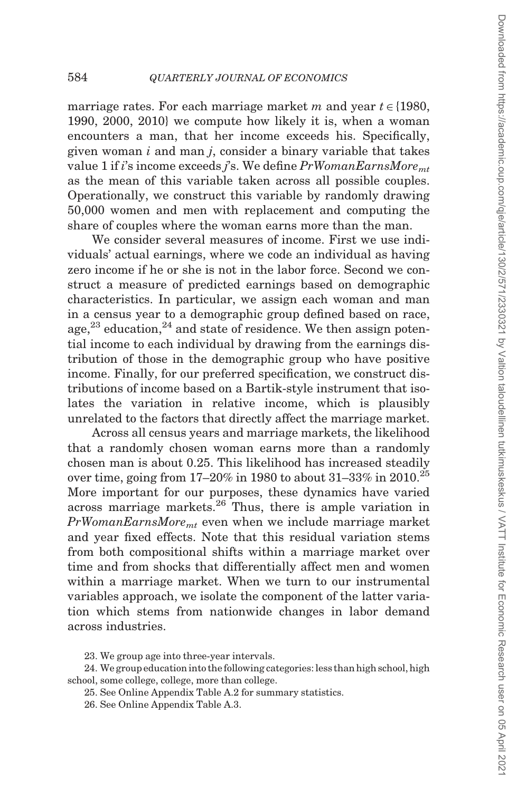marriage rates. For each marriage market *m* and year  $t \in \{1980,$ 1990, 2000, 2010} we compute how likely it is, when a woman encounters a man, that her income exceeds his. Specifically, given woman *i* and man *j*, consider a binary variable that takes value 1 if *i*'s income exceeds *j*'s. We define *PrWomanEarnsMoremt* as the mean of this variable taken across all possible couples. Operationally, we construct this variable by randomly drawing 50,000 women and men with replacement and computing the share of couples where the woman earns more than the man.

We consider several measures of income. First we use individuals' actual earnings, where we code an individual as having zero income if he or she is not in the labor force. Second we construct a measure of predicted earnings based on demographic characteristics. In particular, we assign each woman and man in a census year to a demographic group defined based on race, age,<sup>23</sup> education,<sup>24</sup> and state of residence. We then assign potential income to each individual by drawing from the earnings distribution of those in the demographic group who have positive income. Finally, for our preferred specification, we construct distributions of income based on a Bartik-style instrument that isolates the variation in relative income, which is plausibly unrelated to the factors that directly affect the marriage market.

Across all census years and marriage markets, the likelihood that a randomly chosen woman earns more than a randomly chosen man is about 0.25. This likelihood has increased steadily over time, going from 17–20% in 1980 to about 31–33% in 2010.<sup>25</sup> More important for our purposes, these dynamics have varied across marriage markets.<sup>26</sup> Thus, there is ample variation in *PrWomanEarnsMoremt* even when we include marriage market and year fixed effects. Note that this residual variation stems from both compositional shifts within a marriage market over time and from shocks that differentially affect men and women within a marriage market. When we turn to our instrumental variables approach, we isolate the component of the latter variation which stems from nationwide changes in labor demand across industries.

- 23. We group age into three-year intervals.
- 24. We group education into the following categories: less than high school, high school, some college, college, more than college.
	- 25. See Online Appendix Table A.2 for summary statistics.
	- 26. See Online Appendix Table A.3.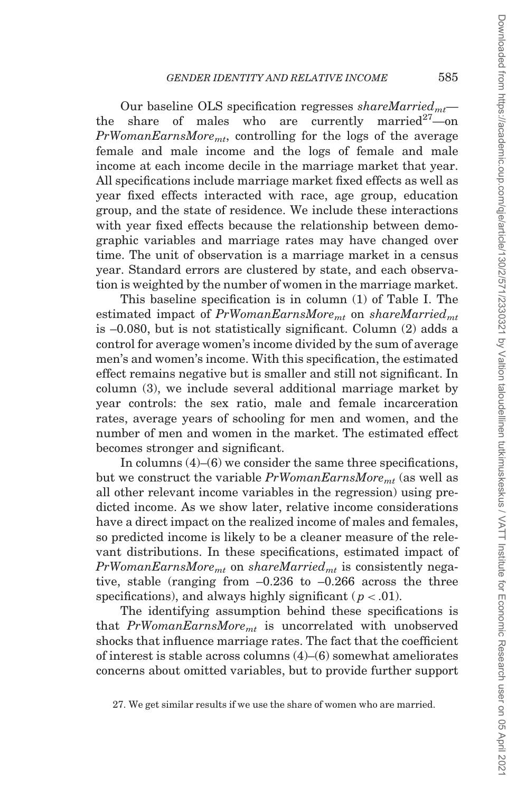Our baseline OLS specification regresses *shareMarriedmt* the share of males who are currently married<sup>27</sup>-on *PrWomanEarnsMoremt*, controlling for the logs of the average female and male income and the logs of female and male income at each income decile in the marriage market that year. All specifications include marriage market fixed effects as well as year fixed effects interacted with race, age group, education group, and the state of residence. We include these interactions with year fixed effects because the relationship between demographic variables and marriage rates may have changed over time. The unit of observation is a marriage market in a census year. Standard errors are clustered by state, and each observation is weighted by the number of women in the marriage market.

This baseline specification is in column (1) of Table I. The estimated impact of *PrWomanEarnsMoremt* on *shareMarriedmt* is –0.080, but is not statistically significant. Column (2) adds a control for average women's income divided by the sum of average men's and women's income. With this specification, the estimated effect remains negative but is smaller and still not significant. In column (3), we include several additional marriage market by year controls: the sex ratio, male and female incarceration rates, average years of schooling for men and women, and the number of men and women in the market. The estimated effect becomes stronger and significant.

In columns (4)–(6) we consider the same three specifications, but we construct the variable *PrWomanEarnsMoremt* (as well as all other relevant income variables in the regression) using predicted income. As we show later, relative income considerations have a direct impact on the realized income of males and females, so predicted income is likely to be a cleaner measure of the relevant distributions. In these specifications, estimated impact of *PrWomanEarnsMoremt* on *shareMarriedmt* is consistently negative, stable (ranging from –0.236 to –0.266 across the three specifications), and always highly significant ( $p < .01$ ).

The identifying assumption behind these specifications is that *PrWomanEarnsMoremt* is uncorrelated with unobserved shocks that influence marriage rates. The fact that the coefficient of interest is stable across columns (4)–(6) somewhat ameliorates concerns about omitted variables, but to provide further support

<sup>27.</sup> We get similar results if we use the share of women who are married.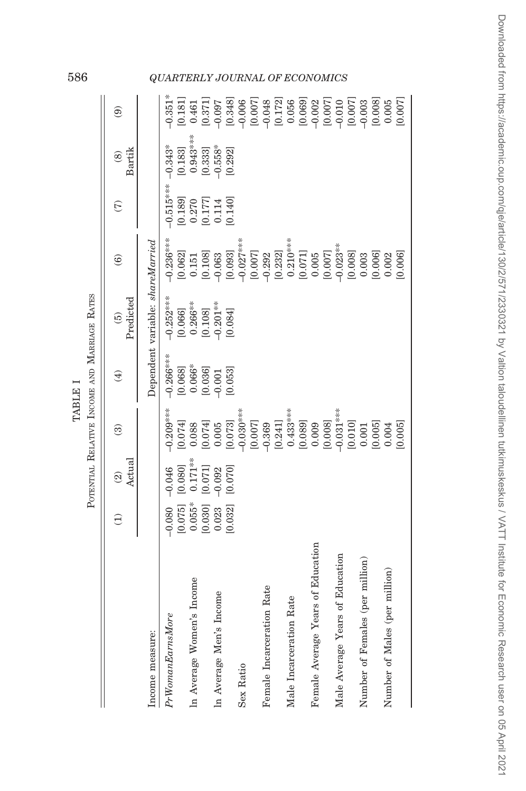|                                   |                                                |                                  |                                                                         | POTENTIAL RELATIVE INCOME AND MARRIAGE RATES   |                                                                                 |                                                                                                           |                         |                                                                                |                                                                                                                                                                                                                                                                                             |
|-----------------------------------|------------------------------------------------|----------------------------------|-------------------------------------------------------------------------|------------------------------------------------|---------------------------------------------------------------------------------|-----------------------------------------------------------------------------------------------------------|-------------------------|--------------------------------------------------------------------------------|---------------------------------------------------------------------------------------------------------------------------------------------------------------------------------------------------------------------------------------------------------------------------------------------|
|                                   |                                                | $\Lambda$ ctual<br>$\widehat{2}$ | ලි                                                                      | $\bigoplus$                                    | Predicted<br>$\widehat{5}$                                                      | $\widehat{\mathbf{e}}$                                                                                    | E                       | Bartik<br>$\circledast$                                                        | $\widehat{e}$                                                                                                                                                                                                                                                                               |
| Income measure:                   |                                                |                                  |                                                                         |                                                | Dependent variable: shareMarried                                                |                                                                                                           |                         |                                                                                |                                                                                                                                                                                                                                                                                             |
| PrW on an Earns More              | [0.075]<br>$-0.080$                            | $-0.046$                         | $-0.209***$<br>[0.074]                                                  | $-0.266***$                                    | $-0.252***$<br>[0.066]                                                          | $-0.236***$                                                                                               | $-0.515***$<br>[0.189]  | $-0.343*$                                                                      | $-0.351*$<br>[0.181]                                                                                                                                                                                                                                                                        |
| In Average Women's Income         | $0.055*$                                       | $[0.080]$<br>$0.171***$          | 0.088                                                                   | $[0.068]$<br>$0.066$ <sup>*</sup><br>$[0.036]$ |                                                                                 | $\begin{array}{c} [0.062] \\ 0.151 \\ 0.108] \\ [0.108] \\ -0.063 \\ [0.093] \\ -0.027^{***} \end{array}$ |                         | $\begin{array}{c} [0.183] \\ 0.943^{***} \\ [0.333] \\ -0.558^{*} \end{array}$ | 0.461                                                                                                                                                                                                                                                                                       |
|                                   | $\begin{bmatrix} 0.030 \\ 0.023 \end{bmatrix}$ | [0.071]                          | $\begin{bmatrix} 0.074 \\ 0.005 \\ 0.073 \\ -0.030^{***} \end{bmatrix}$ |                                                | $\begin{array}{c} 0.266^{***} \\ [0.108] \\ -0.201^{**} \\ [0.084] \end{array}$ |                                                                                                           | $\frac{0.270}{[0.177]}$ |                                                                                | $\begin{array}{l} 17.371 \\ 17.984 \\ 18.376 \\ 19.483 \\ 15.696 \\ 17.787 \\ 18.696 \\ 19.697 \\ 19.696 \\ 19.696 \\ 19.696 \\ 19.696 \\ 19.696 \\ 19.696 \\ 19.696 \\ 19.696 \\ 19.696 \\ 19.696 \\ 19.696 \\ 19.696 \\ 19.696 \\ 19.696 \\ 19.696 \\ 19.696 \\ 19.696 \\ 19.696 \\ 19.6$ |
| In Average Men's Income           |                                                |                                  |                                                                         | $-0.001$<br>[0.053]                            |                                                                                 |                                                                                                           | $0.114$<br>$0.140$      |                                                                                |                                                                                                                                                                                                                                                                                             |
|                                   | 0.032]                                         | [0.070]                          |                                                                         |                                                |                                                                                 |                                                                                                           |                         | [0.292]                                                                        |                                                                                                                                                                                                                                                                                             |
| Sex Ratio                         |                                                |                                  |                                                                         |                                                |                                                                                 |                                                                                                           |                         |                                                                                |                                                                                                                                                                                                                                                                                             |
|                                   |                                                |                                  | [0.007]                                                                 |                                                |                                                                                 | $\begin{array}{c} [0.007] \\ -0.292 \\ [0.232] \\ 0.233] \end{array}$                                     |                         |                                                                                |                                                                                                                                                                                                                                                                                             |
| Female Incarceration Rate         |                                                |                                  |                                                                         |                                                |                                                                                 |                                                                                                           |                         |                                                                                |                                                                                                                                                                                                                                                                                             |
|                                   |                                                |                                  | $[0.241]$<br>0.433***                                                   |                                                |                                                                                 |                                                                                                           |                         |                                                                                |                                                                                                                                                                                                                                                                                             |
| Male Incarceration Rate           |                                                |                                  |                                                                         |                                                |                                                                                 |                                                                                                           |                         |                                                                                |                                                                                                                                                                                                                                                                                             |
|                                   |                                                |                                  | [0.089]                                                                 |                                                |                                                                                 | [0.071]                                                                                                   |                         |                                                                                |                                                                                                                                                                                                                                                                                             |
| Female Average Years of Education |                                                |                                  | 0.009                                                                   |                                                |                                                                                 | 0.005                                                                                                     |                         |                                                                                |                                                                                                                                                                                                                                                                                             |
|                                   |                                                |                                  | [0.008]                                                                 |                                                |                                                                                 | [0.007]                                                                                                   |                         |                                                                                |                                                                                                                                                                                                                                                                                             |
| Male Average Years of Education   |                                                |                                  | $0.031***$                                                              |                                                |                                                                                 | $0.023***$                                                                                                |                         |                                                                                |                                                                                                                                                                                                                                                                                             |
|                                   |                                                |                                  | [0.010]                                                                 |                                                |                                                                                 |                                                                                                           |                         |                                                                                |                                                                                                                                                                                                                                                                                             |
| Number of Females (per million)   |                                                |                                  | $0.001\,$                                                               |                                                |                                                                                 |                                                                                                           |                         |                                                                                |                                                                                                                                                                                                                                                                                             |
|                                   |                                                |                                  | [0.005]                                                                 |                                                |                                                                                 | $\begin{array}{l} [0.008] \\ 0.003 \\ 0.006] \\ [0.006] \\ 0.002 \end{array}$                             |                         |                                                                                |                                                                                                                                                                                                                                                                                             |
| Number of Males (per million)     |                                                |                                  | 0.004                                                                   |                                                |                                                                                 |                                                                                                           |                         |                                                                                |                                                                                                                                                                                                                                                                                             |
|                                   |                                                |                                  | [0.005]                                                                 |                                                |                                                                                 | [0.006]                                                                                                   |                         |                                                                                | [0.007]                                                                                                                                                                                                                                                                                     |

POTENTIAL RELATIVE INCOME AND MARRIAGE RATES TABLE I

#### 586 *QUARTERLY JOURNAL OF ECONOMICS*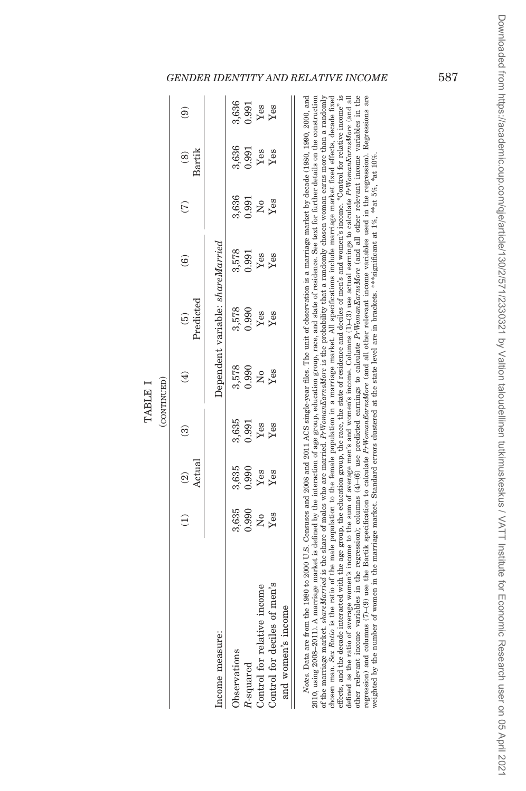| $\widehat{S}$<br>$\widehat{E}$                    |        | ඔ     |                        |                                  |       |                         |                          |               |
|---------------------------------------------------|--------|-------|------------------------|----------------------------------|-------|-------------------------|--------------------------|---------------|
|                                                   | Actual |       | $\widehat{\mathbb{F}}$ | Predicted<br>$\widehat{5}$       | ම     |                         | Bartik<br>$\circledcirc$ | $\widehat{e}$ |
| Income measure:                                   |        |       |                        | Dependent variable: shareMarried |       |                         |                          |               |
| 3,635<br>3,635<br>Observations                    |        | 3,635 | 3,578                  | 3,578                            | 3,578 | 3,636                   | 3,636                    | 3,636         |
| 0.990<br>0.990<br>R-squared                       |        | 0.991 | 0.990                  | 0.990                            | 0.991 | 0.991                   | 0.991                    | 1,991         |
| Yes<br>$\tilde{R}$<br>Control for relative income |        | Yes   | $\tilde{\rm z}$        | Yes                              | Yes   | $\tilde{\rm x}^{\rm o}$ | Yes                      | Yes           |
| Yes<br>Yes<br>Control for deciles of men's        |        | Yes   | Yes                    | Yes                              | Yes   | Yes                     | Yes                      | Yes           |
| and women's income                                |        |       |                        |                                  |       |                         |                          |               |

defined as the ratio of average women's income to the sum of average men's and women's income. Columns (1)-(3) use actual earnings to calculate *PrWomanBarnsMore* (and all other relevant income variables in the regression defined as the ratio of average women's income to the sum of average men's and women's income. Columns (1)–(3) use actual earnings to calculate *PrWomanEarnsMore* (and all other relevant income variables in the regression); columns (4)–(6) use predicted earnings to calculate *PrWomanEarnsMore* (and all other relevant income variables in the regression) and columns (7)–(9) use the Bartik specification to calculate *PrWomanEarnsMore* (and all other relevant income variables used in the regression). Regressions are weighted by the number of women in the marriage market. Standard errors clustered at the state level are in brackets. \*\*\*significant at 1%, \*\*at 5%, \*at 10%.

## *GENDER IDENTITY AND RELATIVE INCOME* 587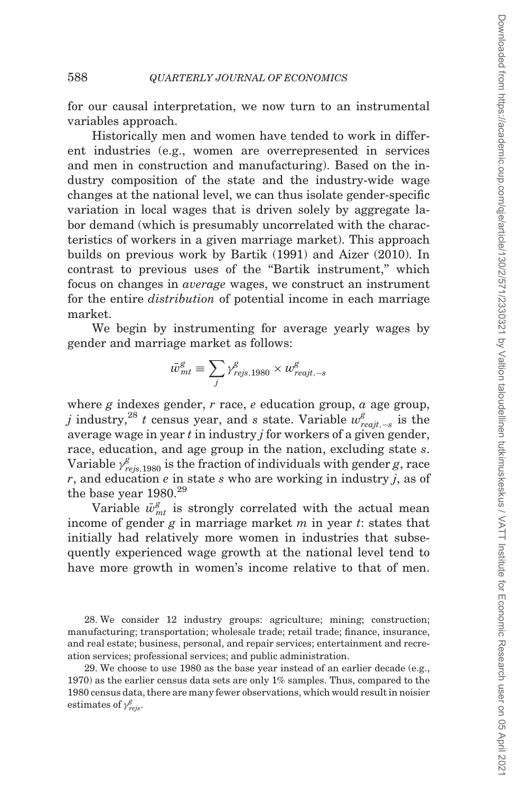for our causal interpretation, we now turn to an instrumental variables approach.

Historically men and women have tended to work in different industries (e.g., women are overrepresented in services and men in construction and manufacturing). Based on the industry composition of the state and the industry-wide wage changes at the national level, we can thus isolate gender-specific variation in local wages that is driven solely by aggregate labor demand (which is presumably uncorrelated with the characteristics of workers in a given marriage market). This approach builds on previous work by Bartik (1991) and Aizer (2010). In contrast to previous uses of the ''Bartik instrument,'' which focus on changes in *average* wages, we construct an instrument for the entire *distribution* of potential income in each marriage market.

We begin by instrumenting for average yearly wages by gender and marriage market as follows:

$$
\bar{w}_{mt}^g \equiv \sum_j \gamma_{rejs,1980}^g \times w_{reajt,-s}^g
$$

where *g* indexes gender, *r* race, *e* education group, *a* age group, *j* industry, <sup>28</sup> *t* census year, and *s* state. Variable  $w_{\text{reqit},-s}^g$  is the average wage in year *t* in industry *j* for workers of a given gender, race, education, and age group in the nation, excluding state *s*. Variable  $\gamma^g_{rejs,1980}$  is the fraction of individuals with gender *g*, race *r*, and education *e* in state *s* who are working in industry *j*, as of the base year  $1980.<sup>29</sup>$ 

Variable  $\bar{w}^g_{mt}$  is strongly correlated with the actual mean income of gender *g* in marriage market *m* in year *t*: states that initially had relatively more women in industries that subsequently experienced wage growth at the national level tend to have more growth in women's income relative to that of men.

28. We consider 12 industry groups: agriculture; mining; construction; manufacturing; transportation; wholesale trade; retail trade; finance, insurance, and real estate; business, personal, and repair services; entertainment and recreation services; professional services; and public administration.

29. We choose to use 1980 as the base year instead of an earlier decade (e.g., 1970) as the earlier census data sets are only 1% samples. Thus, compared to the 1980 census data, there are many fewer observations, which would result in noisier estimates of  $\gamma_{rejs}^g$ .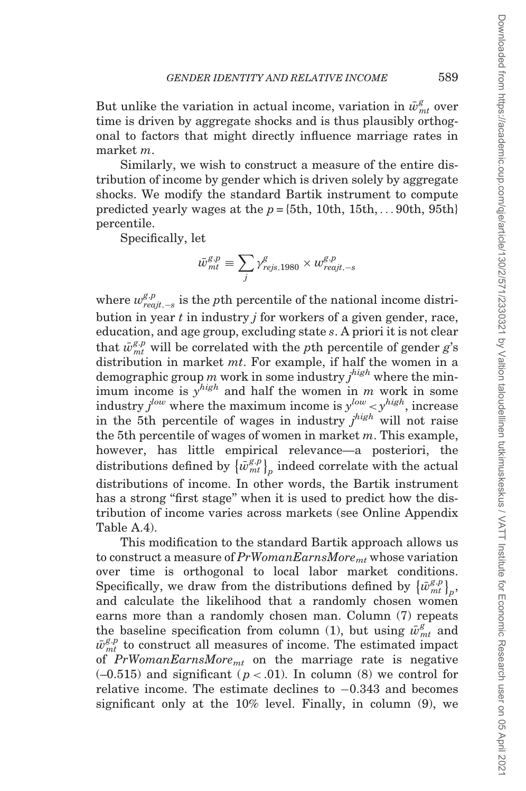But unlike the variation in actual income, variation in  $\bar{w}^g_{mt}$  over time is driven by aggregate shocks and is thus plausibly orthogonal to factors that might directly influence marriage rates in market *m*.

Similarly, we wish to construct a measure of the entire distribution of income by gender which is driven solely by aggregate shocks. We modify the standard Bartik instrument to compute predicted yearly wages at the  $p = \{5th, 10th, 15th, \ldots 90th, 95th\}$ percentile.

Specifically, let

$$
\bar{w}_{mt}^{g,p} \equiv \sum_{j} \gamma_{rejs,1980}^{g} \times w_{reajt,-s}^{g,p}
$$

where  $w_{\text{reqit},-s}^{\text{g},p}$  is the *p*th percentile of the national income distribution in year *t* in industry *j* for workers of a given gender, race, education, and age group, excluding state *s*. A priori it is not clear that  $\bar{w}_{mt}^{g,p}$  will be correlated with the *p*th percentile of gender *g*'s distribution in market *mt*. For example, if half the women in a demographic group *m* work in some industry *j high* where the minimum income is  $y^{high}$  and half the women in  $m$  work in some  $\int_{0}^{1}$  *i*  $\int_{0}^{1}$  *kow* where the maximum income is  $y^{low}$   $, increase$ in the 5th percentile of wages in industry *j high* will not raise the 5th percentile of wages of women in market *m*. This example, however, has little empirical relevance—a posteriori, the distributions defined by  $\left\{ \bar{w}_{mt}^{\mathcal{G},p} \right\}_{p}$  indeed correlate with the actual distributions of income. In other words, the Bartik instrument has a strong "first stage" when it is used to predict how the distribution of income varies across markets (see Online Appendix Table A.4).

This modification to the standard Bartik approach allows us to construct a measure of *PrWomanEarnsMoremt* whose variation over time is orthogonal to local labor market conditions. Specifically, we draw from the distributions defined by  $\{\bar{w}_{mt}^{\mathcal{g},p}\}_p$ , and calculate the likelihood that a randomly chosen women earns more than a randomly chosen man. Column (7) repeats the baseline specification from column (1), but using  $\bar{w}_{mt}^g$  and  $\bar{w}^{g,p}_{mt}$  to construct all measures of income. The estimated impact of *PrWomanEarnsMoremt* on the marriage rate is negative  $(-0.515)$  and significant ( $p < .01$ ). In column (8) we control for relative income. The estimate declines to  $-0.343$  and becomes significant only at the 10% level. Finally, in column (9), we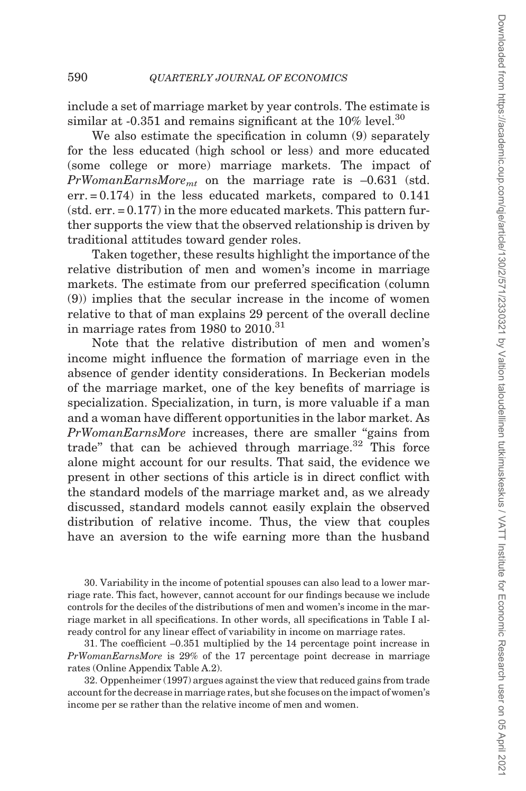include a set of marriage market by year controls. The estimate is similar at  $-0.351$  and remains significant at the 10% level.<sup>30</sup>

We also estimate the specification in column (9) separately for the less educated (high school or less) and more educated (some college or more) marriage markets. The impact of *PrWomanEarnsMoremt* on the marriage rate is –0.631 (std. err. = 0.174) in the less educated markets, compared to 0.141  $(\text{std. err.} = 0.177)$  in the more educated markets. This pattern further supports the view that the observed relationship is driven by traditional attitudes toward gender roles.

Taken together, these results highlight the importance of the relative distribution of men and women's income in marriage markets. The estimate from our preferred specification (column (9)) implies that the secular increase in the income of women relative to that of man explains 29 percent of the overall decline in marriage rates from 1980 to  $2010^{31}$ 

Note that the relative distribution of men and women's income might influence the formation of marriage even in the absence of gender identity considerations. In Beckerian models of the marriage market, one of the key benefits of marriage is specialization. Specialization, in turn, is more valuable if a man and a woman have different opportunities in the labor market. As *PrWomanEarnsMore* increases, there are smaller ''gains from trade" that can be achieved through marriage.<sup>32</sup> This force alone might account for our results. That said, the evidence we present in other sections of this article is in direct conflict with the standard models of the marriage market and, as we already discussed, standard models cannot easily explain the observed distribution of relative income. Thus, the view that couples have an aversion to the wife earning more than the husband

30. Variability in the income of potential spouses can also lead to a lower marriage rate. This fact, however, cannot account for our findings because we include controls for the deciles of the distributions of men and women's income in the marriage market in all specifications. In other words, all specifications in Table I already control for any linear effect of variability in income on marriage rates.

31. The coefficient –0.351 multiplied by the 14 percentage point increase in *PrWomanEarnsMore* is 29% of the 17 percentage point decrease in marriage rates (Online Appendix Table A.2).

32. Oppenheimer (1997) argues against the view that reduced gains from trade account for the decrease in marriage rates, but she focuses on the impact of women's income per se rather than the relative income of men and women.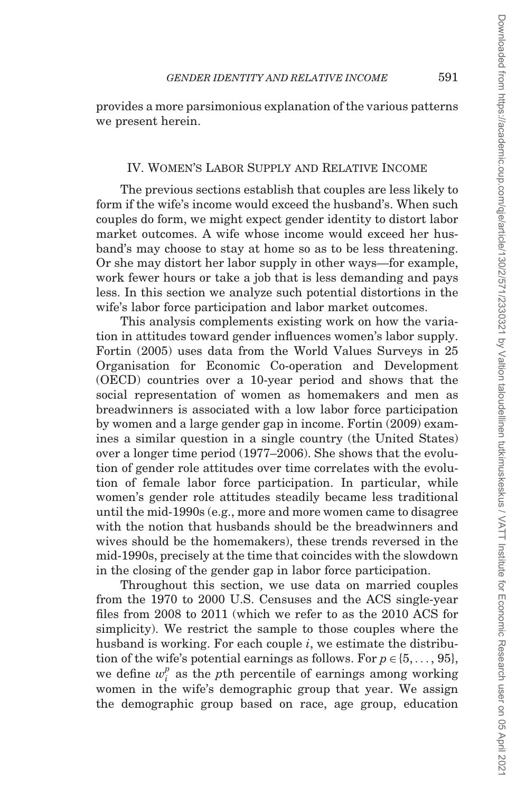provides a more parsimonious explanation of the various patterns we present herein.

## IV. Women's Labor Supply and Relative Income

The previous sections establish that couples are less likely to form if the wife's income would exceed the husband's. When such couples do form, we might expect gender identity to distort labor market outcomes. A wife whose income would exceed her husband's may choose to stay at home so as to be less threatening. Or she may distort her labor supply in other ways—for example, work fewer hours or take a job that is less demanding and pays less. In this section we analyze such potential distortions in the wife's labor force participation and labor market outcomes.

This analysis complements existing work on how the variation in attitudes toward gender influences women's labor supply. Fortin (2005) uses data from the World Values Surveys in 25 Organisation for Economic Co-operation and Development (OECD) countries over a 10-year period and shows that the social representation of women as homemakers and men as breadwinners is associated with a low labor force participation by women and a large gender gap in income. Fortin (2009) examines a similar question in a single country (the United States) over a longer time period (1977–2006). She shows that the evolution of gender role attitudes over time correlates with the evolution of female labor force participation. In particular, while women's gender role attitudes steadily became less traditional until the mid-1990s (e.g., more and more women came to disagree with the notion that husbands should be the breadwinners and wives should be the homemakers), these trends reversed in the mid-1990s, precisely at the time that coincides with the slowdown in the closing of the gender gap in labor force participation.

Throughout this section, we use data on married couples from the 1970 to 2000 U.S. Censuses and the ACS single-year files from 2008 to 2011 (which we refer to as the 2010 ACS for simplicity). We restrict the sample to those couples where the husband is working. For each couple *i*, we estimate the distribution of the wife's potential earnings as follows. For  $p \in \{5, \ldots, 95\}$ , we define  $w_i^p$  as the *p*th percentile of earnings among working women in the wife's demographic group that year. We assign the demographic group based on race, age group, education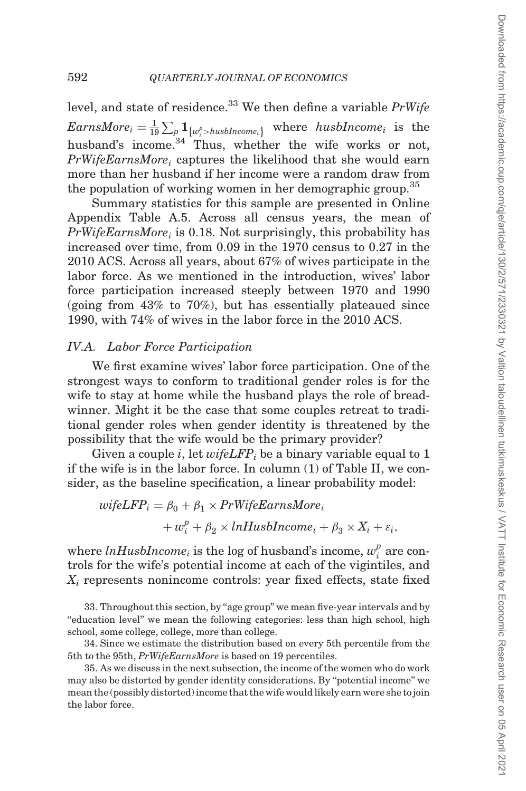level, and state of residence.<sup>33</sup> We then define a variable *PrWife*  $\textit{EarnsMore}_i = \frac{1}{19} \sum_{p} \mathbf{1}_{\{w_i^p > husbIncome_i\}}$  where  $husbIncome_i$  is the husband's income.<sup>34</sup> Thus, whether the wife works or not, *PrWifeEarnsMore<sup>i</sup>* captures the likelihood that she would earn more than her husband if her income were a random draw from the population of working women in her demographic group.<sup>35</sup>

Summary statistics for this sample are presented in Online Appendix Table A.5. Across all census years, the mean of *PrWifeEarnsMore<sup>i</sup>* is 0.18. Not surprisingly, this probability has increased over time, from 0.09 in the 1970 census to 0.27 in the 2010 ACS. Across all years, about 67% of wives participate in the labor force. As we mentioned in the introduction, wives' labor force participation increased steeply between 1970 and 1990 (going from 43% to 70%), but has essentially plateaued since 1990, with 74% of wives in the labor force in the 2010 ACS.

### *IV.A. Labor Force Participation*

We first examine wives' labor force participation. One of the strongest ways to conform to traditional gender roles is for the wife to stay at home while the husband plays the role of breadwinner. Might it be the case that some couples retreat to traditional gender roles when gender identity is threatened by the possibility that the wife would be the primary provider?

Given a couple *i*, let *wifeLFP<sup>i</sup>* be a binary variable equal to 1 if the wife is in the labor force. In column (1) of Table II, we consider, as the baseline specification, a linear probability model:

$$
wife LFP_i = \beta_0 + \beta_1 \times PrWifeEarnsMore_i
$$
  
+ 
$$
w_i^p + \beta_2 \times lnHusbIncome_i + \beta_3 \times X_i + \varepsilon_i,
$$

where  $lnHusblncome<sub>i</sub>$  is the log of husband's income,  $w_i^p$  are controls for the wife's potential income at each of the vigintiles, and *X<sup>i</sup>* represents nonincome controls: year fixed effects, state fixed

33. Throughout this section, by ''age group'' we mean five-year intervals and by ''education level'' we mean the following categories: less than high school, high school, some college, college, more than college.

34. Since we estimate the distribution based on every 5th percentile from the 5th to the 95th, *PrWifeEarnsMore* is based on 19 percentiles.

35. As we discuss in the next subsection, the income of the women who do work may also be distorted by gender identity considerations. By ''potential income'' we mean the (possibly distorted) income that the wife would likely earn were she to join the labor force.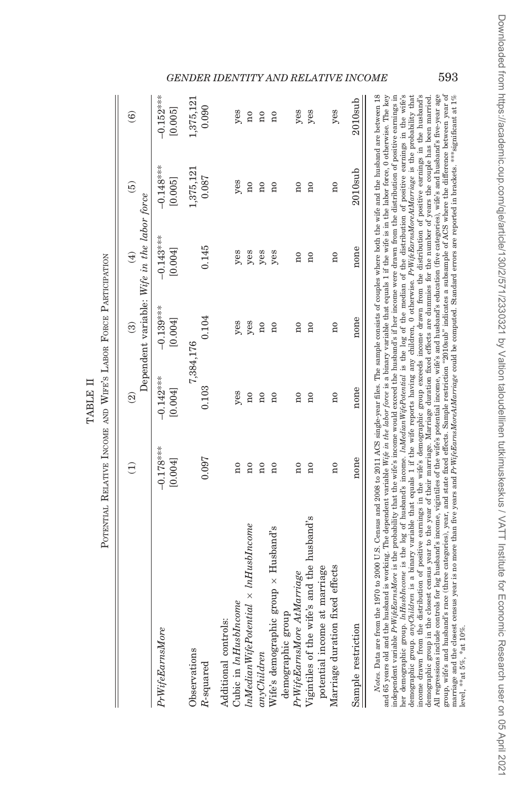|                                                                 | Э                      | $\widehat{\mathfrak{D}}$ | $\widehat{\mathcal{C}}$ | Dependent variable: Wife in the labor force<br>$\overline{4}$ | ම                       | $\widehat{\mathbf{e}}$  |
|-----------------------------------------------------------------|------------------------|--------------------------|-------------------------|---------------------------------------------------------------|-------------------------|-------------------------|
| PrWifeEarnsMore                                                 | $-0.178***$<br>[0.004] | $-0.142***$<br>[0.004]   | $-0.139***$<br>[0.004]  | $-0.143***$<br>[0.004]                                        | $-0.148***$<br>[0.005]  | $-0.152***$<br>[0.005]  |
| Observations<br>R-squared                                       | 0.097                  | 0.103                    | 0.104<br>7,384,176      | 0.145                                                         | 1,375,121<br>0.087      | 1,375,121<br>0.090      |
| Cubic in lnHusbIncome<br>Additional controls:                   | $\overline{a}$         | $y$ es                   | yes                     | $y$ es                                                        | yes                     | $y$ eg                  |
| $\emph{l}nMedian\emph{WifePotential}\times\emph{l}nHusblncome$  | $\overline{a}$         | $\overline{\rm n}$       | yes                     | $y$ es                                                        | $\overline{n}$          | no                      |
| anyChildren                                                     | $\overline{a}$         | $\overline{\mathbf{n}}$  | $\overline{n}$          | $y$ es                                                        | $\overline{\mathbf{n}}$ | $\overline{\mathbf{n}}$ |
| Wife's demographic group $\times$ Husband's                     | $\overline{a}$         | n0                       | $\overline{a}$          | yes                                                           | n0                      | $\overline{a}$          |
| PrWifeEarnsMore AtMarriage<br>demographic group                 | $\overline{n}$         | $\overline{a}$           | $\overline{a}$          | $\overline{\mathrm{n}}$                                       | $\overline{\mathrm{n}}$ | $y$ eg                  |
| Vigintiles of the wife's and the husband's                      | $\overline{a}$         | $\overline{\Omega}$      | $\overline{n}$          | $\overline{\Omega}$                                           | $\overline{\mathbf{n}}$ | yes                     |
| Marriage duration fixed effects<br>potential income at marriage | $\overline{n}$         | $\overline{\Omega}$      | $\overline{n}$          | no                                                            | $\overline{\mathbf{n}}$ | yes                     |
| Sample restriction                                              | none                   | none                     | none                    | none                                                          | $2010$ sub              | $2010$ sub              |

TABLE II RELATIVE INCOME AND WIFE'S LABOR FORCE PARTICIPATION

income drawn from the distribution of positive earnings in the wife's demographic group exceeds income drawn from the distribution of positive earnings in the husband's her demographic group. *InHusbincome* is the log of husband's income. *InMedianWipeDotential* is the log of the median of the distribution of positive earnings in the wife's<br>demographic group. *anyChildren* is a binary var demographic group in the closest census year to the year of their marriage. Marriage duration fixed effects are dummies for the number of years the couple has been married. All regressions include controls for log husband's income, vigintiles of the wife's potential income, wife's and husband's education (five categories), wife's and husband's five-year age group, wife's and husband's race (three categories), year, and state fixed effects. Sample restriction "2010sub" indicates a subsample of ACS where the difference between year of marriage and the closest census year is no more than five years and *PrWifeEarnsMoreAtMarriage* could be computed. Standard errors are reported in brackets. \*\*\*significant at 1% her demographic group. *lnHusbIncome* is the log of husband's income. *lnMedianWifePotential* is the log of the median of the distribution of positive earnings in the wife's demographic group. *anyChildren* is a binary variable that equals 1 if the wife reports having any children, 0 otherwise. *PrWifeEarnsMoreAtMarriage* is the probability that income drawn from the distribution of positive earnings in the wife's demographic group exceeds income drawn from the distribution of positive earnings in the husband's demographic group in the closest census year to the year of their marriage. Marriage duration fixed effects are dummies for the number of years the couple has been married. All regressions include controls for log husband's income, vigintiles of the wife's potential income, wife's and husband's education (five categories), wife's and husband's five-year age group, wife's and husband's race (three categories), year, and state fixed effects. Sample restriction ''2010sub'' indicates a subsample of ACS where the difference between year of marriage and the closest census year is no more than five years and *PrWifeEarnsMoreAtMarriage* could be computed. Standard errors are reported in brackets. \*\*\*significant at 1% and the 1% of the 1% of the 1% of the 1% of level, \*\* at 5%, \* at 10%. level, \*\*at 5%, \*at 10%.

## *GENDER IDENTITY AND RELATIVE INCOME* 593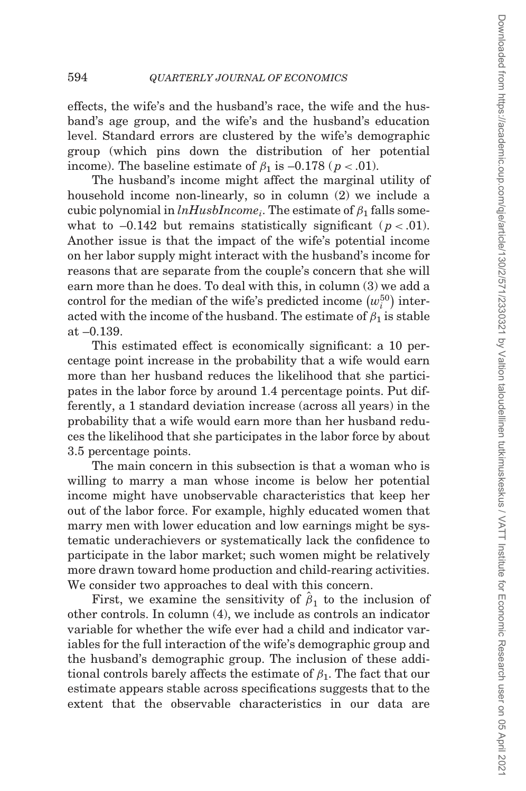Downloaded from https://academic.oup.com/gle/article/130/clede/130/221 by Valtion taloudellinen tutkimuskeskus / VATT Institute for Economic Research user on 05 April 202 Downloaded from https://academic.oup.com/qje/article/130/2/571/2330321 by Valtion taloudellinen tutkimuskeskus / VATT Institute for Economic Research user on 05 April 2021

effects, the wife's and the husband's race, the wife and the husband's age group, and the wife's and the husband's education level. Standard errors are clustered by the wife's demographic group (which pins down the distribution of her potential income). The baseline estimate of  $\beta_1$  is  $-0.178$  ( $p < .01$ ).

The husband's income might affect the marginal utility of household income non-linearly, so in column (2) we include a cubic polynomial in  $lnHusblncome_i$ . The estimate of  $\beta_1$  falls somewhat to  $-0.142$  but remains statistically significant ( $p < .01$ ). Another issue is that the impact of the wife's potential income on her labor supply might interact with the husband's income for reasons that are separate from the couple's concern that she will earn more than he does. To deal with this, in column (3) we add a  $\text{control for the median of the wife's predicted income } (w_i^{50}) \text{ inter-}$ acted with the income of the husband. The estimate of  $\beta_1$  is stable at –0.139.

This estimated effect is economically significant: a 10 percentage point increase in the probability that a wife would earn more than her husband reduces the likelihood that she participates in the labor force by around 1.4 percentage points. Put differently, a 1 standard deviation increase (across all years) in the probability that a wife would earn more than her husband reduces the likelihood that she participates in the labor force by about 3.5 percentage points.

The main concern in this subsection is that a woman who is willing to marry a man whose income is below her potential income might have unobservable characteristics that keep her out of the labor force. For example, highly educated women that marry men with lower education and low earnings might be systematic underachievers or systematically lack the confidence to participate in the labor market; such women might be relatively more drawn toward home production and child-rearing activities. We consider two approaches to deal with this concern.

First, we examine the sensitivity of  $\hat{\beta}_1$  to the inclusion of other controls. In column (4), we include as controls an indicator variable for whether the wife ever had a child and indicator variables for the full interaction of the wife's demographic group and the husband's demographic group. The inclusion of these additional controls barely affects the estimate of  $\beta_1$ . The fact that our estimate appears stable across specifications suggests that to the extent that the observable characteristics in our data are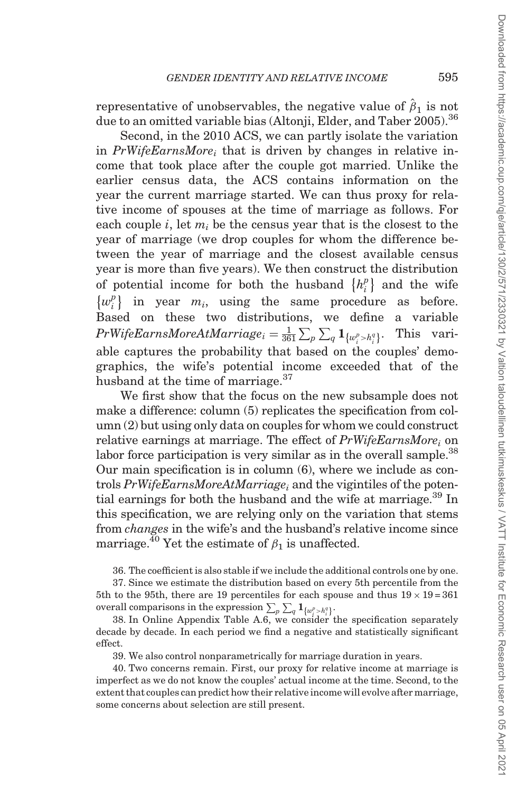representative of unobservables, the negative value of  $\hat{\beta}_1$  is not due to an omitted variable bias (Altonji, Elder, and Taber 2005).<sup>36</sup>

Second, in the 2010 ACS, we can partly isolate the variation in *PrWifeEarnsMore<sup>i</sup>* that is driven by changes in relative income that took place after the couple got married. Unlike the earlier census data, the ACS contains information on the year the current marriage started. We can thus proxy for relative income of spouses at the time of marriage as follows. For each couple *i*, let *m<sup>i</sup>* be the census year that is the closest to the year of marriage (we drop couples for whom the difference between the year of marriage and the closest available census year is more than five years). We then construct the distribution of potential income for both the husband  $\{h_i^p\}$  and the wife  $\{w_i^p\}$  in year  $m_i$ , using the same procedure as before. Based on these two distributions, we define a variable  $PrWif eEarnsMoreAtMarriage_i = \frac{1}{361}\sum_p\sum_q \mathbf{1}_{\{w_i^p > h_i^q\}}.$  This variable captures the probability that based on the couples' demographics, the wife's potential income exceeded that of the husband at the time of marriage.<sup>37</sup>

We first show that the focus on the new subsample does not make a difference: column  $(5)$  replicates the specification from column (2) but using only data on couples for whom we could construct relative earnings at marriage. The effect of *PrWifeEarnsMore<sup>i</sup>* on labor force participation is very similar as in the overall sample.<sup>38</sup> Our main specification is in column (6), where we include as controls *PrWifeEarnsMoreAtMarriage<sup>i</sup>* and the vigintiles of the potential earnings for both the husband and the wife at marriage.<sup>39</sup> In this specification, we are relying only on the variation that stems from *changes* in the wife's and the husband's relative income since marriage.<sup>40</sup> Yet the estimate of  $\beta_1$  is unaffected.

36. The coefficient is also stable if we include the additional controls one by one.

37. Since we estimate the distribution based on every 5th percentile from the 5th to the 95th, there are 19 percentiles for each spouse and thus  $19 \times 19 = 361$ overall comparisons in the expression  $\sum_{p} \sum_{q} \mathbf{1}_{\{w_i^p > h_i^q\}}$ .

38. In Online Appendix Table A.6, we consider the specification separately decade by decade. In each period we find a negative and statistically significant effect.

39. We also control nonparametrically for marriage duration in years.

40. Two concerns remain. First, our proxy for relative income at marriage is imperfect as we do not know the couples' actual income at the time. Second, to the extent that couples can predict how their relative income will evolve after marriage, some concerns about selection are still present.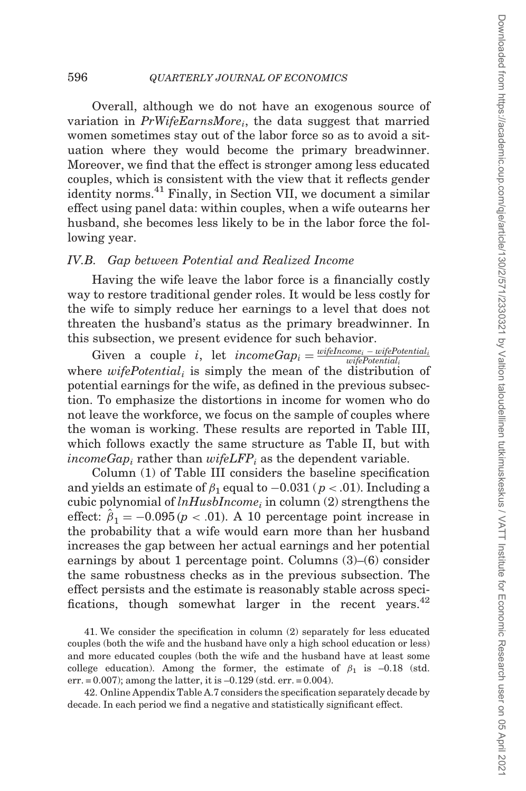Overall, although we do not have an exogenous source of variation in *PrWifeEarnsMore<sup>i</sup>* , the data suggest that married women sometimes stay out of the labor force so as to avoid a situation where they would become the primary breadwinner. Moreover, we find that the effect is stronger among less educated couples, which is consistent with the view that it reflects gender identity norms.<sup>41</sup> Finally, in Section VII, we document a similar effect using panel data: within couples, when a wife outearns her husband, she becomes less likely to be in the labor force the following year.

### *IV.B. Gap between Potential and Realized Income*

Having the wife leave the labor force is a financially costly way to restore traditional gender roles. It would be less costly for the wife to simply reduce her earnings to a level that does not threaten the husband's status as the primary breadwinner. In this subsection, we present evidence for such behavior.

Given a couple *i*, let *incomeGap*<sub>*i*</sub> =  $\frac{wifelnormal_i - wifelpotential_i}{wifelPotential_i}$ where *wifePotential<sup>i</sup>* is simply the mean of the distribution of potential earnings for the wife, as defined in the previous subsection. To emphasize the distortions in income for women who do not leave the workforce, we focus on the sample of couples where the woman is working. These results are reported in Table III, which follows exactly the same structure as Table II, but with *incomeGap<sub>i</sub>* rather than  $wifeLFP_i$  as the dependent variable.

Column (1) of Table III considers the baseline specification and yields an estimate of  $\beta_1$  equal to  $-0.031$  ( $p < .01$ ). Including a  $cubic$  polynomial of  $lnHusbIncome_i$  in  $column (2)$  strengthens the effect:  $\hat{\beta}_1 = -0.095 (p < .01)$ . A 10 percentage point increase in the probability that a wife would earn more than her husband increases the gap between her actual earnings and her potential earnings by about 1 percentage point. Columns (3)–(6) consider the same robustness checks as in the previous subsection. The effect persists and the estimate is reasonably stable across specifications, though somewhat larger in the recent years.<sup>42</sup>

41. We consider the specification in column (2) separately for less educated couples (both the wife and the husband have only a high school education or less) and more educated couples (both the wife and the husband have at least some college education). Among the former, the estimate of  $\beta_1$  is  $-0.18$  (std. err.  $= 0.007$ ; among the latter, it is  $-0.129$  (std. err.  $= 0.004$ ).

42. Online Appendix Table A.7 considers the specification separately decade by decade. In each period we find a negative and statistically significant effect.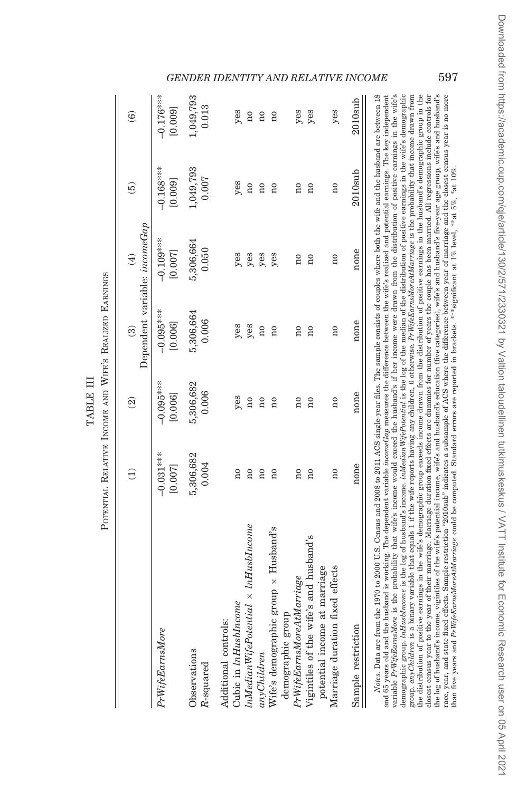|                                                                 |                         | $\widehat{\mathfrak{D}}$ | Dependent variable: <i>incomeGap</i><br>ම | $\widehat{4}$           | $\widehat{6}$          | $\widehat{\mathbf{e}}$  |
|-----------------------------------------------------------------|-------------------------|--------------------------|-------------------------------------------|-------------------------|------------------------|-------------------------|
| PrWifeEarnsMore                                                 | $-0.031***$<br>[0.007]  | $-0.095***$<br>[0.006]   | $-0.095***$<br>[0.006]                    | $-0.109***$<br>[0.007]  | $-0.168***$<br>[0.009] | $-0.176***$<br>[0.009]  |
| Observations<br>R-squared                                       | 5,306,682<br>0.004      | 5,306,682<br>0.006       | 5,306,664<br>0.006                        | 5,306,664<br>0.050      | 1,049,793<br>0.007     | 1,049,793<br>0.013      |
| Cubic in lnHusbIncome<br>Additional controls:                   | $\overline{\mathrm{n}}$ | $y$ es                   | yes                                       | $y$ es                  | $y$ es                 | $y$ es                  |
| $\mathit{lnMedianWifePotential} \times \mathit{lnHusbIncome}$   | $\overline{\rm n}$      | $\overline{\rm n}$       | yes                                       | $y$ es                  | n0                     | $\overline{\rm n}$      |
| anyChildren                                                     | $\overline{\mathbf{n}}$ | $\overline{a}$           | $\overline{\mathbf{n}}$                   | $y$ es                  | n <sub>0</sub>         | $\overline{\mathbf{n}}$ |
| Wife's demographic group $\times$ Husband's                     | $\overline{\mathrm{m}}$ | $\overline{\mathrm{n}}$  | $\overline{\mathrm{m}}$                   | yes                     | $\overline{a}$         | $\overline{\mathrm{n}}$ |
| PrWifeEarnsMoreAtMarriage<br>demographic group                  | $\overline{\mathbf{n}}$ | $\overline{\Omega}$      | $\overline{\Omega}$                       | $\overline{\mathbf{n}}$ | $\overline{n}$         | $y$ es                  |
| Vigintiles of the wife's and husband's                          | $\overline{\mathbf{n}}$ | $\overline{\Omega}$      | $\overline{\Omega}$                       | $\overline{\Omega}$     | $\overline{a}$         | yes                     |
| potential income at marriage<br>Marriage duration fixed effects | $\overline{\Omega}$     | no                       | $\overline{\mathrm{a}}$                   | $\overline{\rm n}$      | no                     | yes                     |
| Sample restriction                                              | none                    | none                     | none                                      | none                    | $2010$ sub             | $2010$ sub              |

 $D$ omparmar  $R_{DT}$  amare Iaroolee aarb Winey's  $R_{T}$ ar reed  $R_{AD}$ arnace POTENTIAL RELATIVE INCOME AND WIFE'S REALIZED EARNINGS TABLE III

demographic group. *Intussuncome* is the log of husband's moome. *Indection Witerbearda is* the median of the distribution of positive earnings in the wires demographic<br>group. *anyChildren* is a binary variable that equals the distribution of positive earnings in the wife's demographic group exceeds income drawn from the distribution of positive earnings in the husband's demographic group in the closest census year to the year of their marriage. Marriage duration fixed effects are dummies for number of years the couple has been married. All regressions include controls for the log of husband's income, vigintiles of the wife's potential income, wife's and husband's education (five categories), wife's and husband's five-year age group, wife's and husband's race, year, and state fixed effects. Sample restriction "2010sub" indicates a subsample of ACS where the difference between year of marriage and the closest census year is no more demographic group. *lnHusbIncome* is the log of husband's income. *lnMedianWifePotential* is the log of the median of the distribution of positive earnings in the wife's demographic group. *anyChildren* is a binary variable that equals 1 if the wife reports having any children, 0 otherwise. *PrWifeEarnsMoreAtMarriage* is the probability that income drawn from the distribution of positive earnings in the wife's demographic group exceeds income drawn from the distribution of positive earnings in the husband's demographic group in the closest census year to the year of their marriage. Marriage duration fixed effects are dummies for number of years the couple has been married. All regressions include controls for the log of husband's income, vigintiles of the wife's potential income, wife's and husband's education (five categories), wife's and husband's five-year age group, wife's and husband's race, year, and state fixed effects. Sample restriction ''2010sub'' indicates a subsample of ACS where the difference between year of marriage and the closest census year is no more than five years and *PrWifeEarnsMoreAtMarriage* could be computed. Standard errors are reported in brackets, \*\*\*significant at 1% level, \*\*at 5%, \*at 10%. than five years and *PrWifeEarnsMoreAtMarriage* could be computed. Standard errors are reported in brackets. \*\*\*significant at 1% level, \*\*at 5%, \*at 10%.

# *GENDER IDENTITY AND RELATIVE INCOME* 597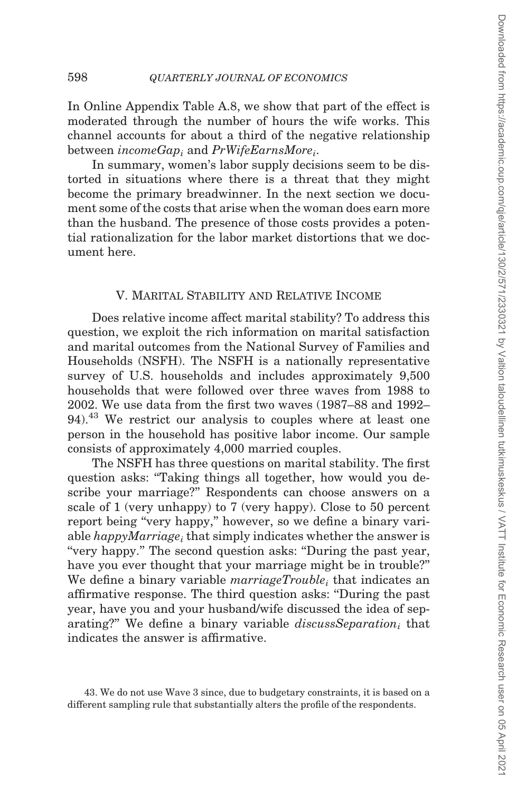In Online Appendix Table A.8, we show that part of the effect is moderated through the number of hours the wife works. This channel accounts for about a third of the negative relationship between *incomeGap<sup>i</sup>* and *PrWifeEarnsMore<sup>i</sup>* .

In summary, women's labor supply decisions seem to be distorted in situations where there is a threat that they might become the primary breadwinner. In the next section we document some of the costs that arise when the woman does earn more than the husband. The presence of those costs provides a potential rationalization for the labor market distortions that we document here.

#### V. Marital Stability and Relative Income

Does relative income affect marital stability? To address this question, we exploit the rich information on marital satisfaction and marital outcomes from the National Survey of Families and Households (NSFH). The NSFH is a nationally representative survey of U.S. households and includes approximately 9,500 households that were followed over three waves from 1988 to 2002. We use data from the first two waves (1987–88 and 1992– 94).<sup>43</sup> We restrict our analysis to couples where at least one person in the household has positive labor income. Our sample consists of approximately 4,000 married couples.

The NSFH has three questions on marital stability. The first question asks: ''Taking things all together, how would you describe your marriage?'' Respondents can choose answers on a scale of 1 (very unhappy) to 7 (very happy). Close to 50 percent report being "very happy," however, so we define a binary variable *happyMarriage<sup>i</sup>* that simply indicates whether the answer is ''very happy.'' The second question asks: ''During the past year, have you ever thought that your marriage might be in trouble?" We define a binary variable *marriageTrouble<sup>i</sup>* that indicates an affirmative response. The third question asks: ''During the past year, have you and your husband/wife discussed the idea of separating?'' We define a binary variable *discussSeparation<sup>i</sup>* that indicates the answer is affirmative.

<sup>43.</sup> We do not use Wave 3 since, due to budgetary constraints, it is based on a different sampling rule that substantially alters the profile of the respondents.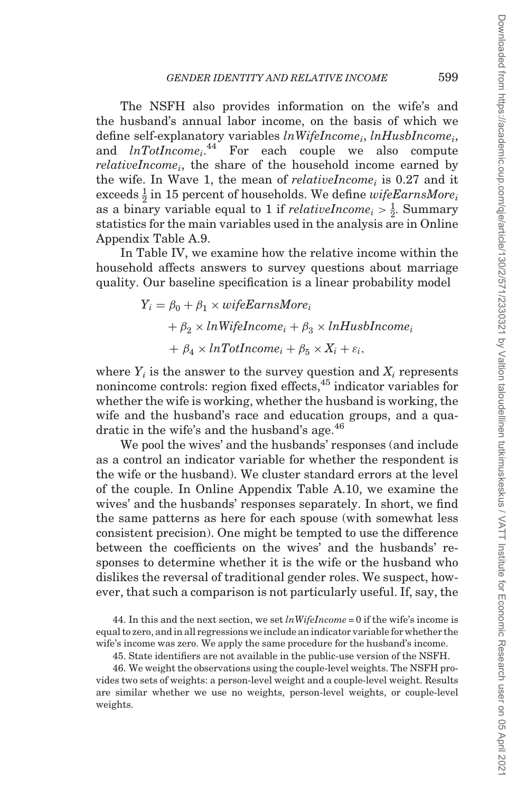The NSFH also provides information on the wife's and the husband's annual labor income, on the basis of which we define self-explanatory variables *lnWifeIncome<sup>i</sup>* , *lnHusbIncome<sup>i</sup>* , and  $lnTothcome_i$ <sup>44</sup> For each couple we also compute *relativeIncome<sup>i</sup>* , the share of the household income earned by the wife. In Wave 1, the mean of *relativeIncome<sup>i</sup>* is 0.27 and it  $\frac{1}{2}$  in 15 percent of households. We define *wifeEarnsMore*<sub>*i*</sub> as a binary variable equal to 1 if  $relativeIncome_i > \frac{1}{2}$ . Summary statistics for the main variables used in the analysis are in Online Appendix Table A.9.

In Table IV, we examine how the relative income within the household affects answers to survey questions about marriage quality. Our baseline specification is a linear probability model

$$
Y_i = \beta_0 + \beta_1 \times \text{wifeEarnsMore}_i
$$
  
+  $\beta_2 \times \ln \text{WifeIncome}_i + \beta_3 \times \ln \text{HusbIncome}_i$   
+  $\beta_4 \times \ln \text{TotIncome}_i + \beta_5 \times X_i + \varepsilon_i$ ,

where  $Y_i$  is the answer to the survey question and  $X_i$  represents nonincome controls: region fixed effects,<sup>45</sup> indicator variables for whether the wife is working, whether the husband is working, the wife and the husband's race and education groups, and a quadratic in the wife's and the husband's age.<sup>46</sup>

We pool the wives' and the husbands' responses (and include as a control an indicator variable for whether the respondent is the wife or the husband). We cluster standard errors at the level of the couple. In Online Appendix Table A.10, we examine the wives' and the husbands' responses separately. In short, we find the same patterns as here for each spouse (with somewhat less consistent precision). One might be tempted to use the difference between the coefficients on the wives' and the husbands' responses to determine whether it is the wife or the husband who dislikes the reversal of traditional gender roles. We suspect, however, that such a comparison is not particularly useful. If, say, the

44. In this and the next section, we set *lnWifeIncome* = 0 if the wife's income is equal to zero, and in all regressions we include an indicator variable for whether the wife's income was zero. We apply the same procedure for the husband's income.

45. State identifiers are not available in the public-use version of the NSFH.

46. We weight the observations using the couple-level weights. The NSFH provides two sets of weights: a person-level weight and a couple-level weight. Results are similar whether we use no weights, person-level weights, or couple-level weights.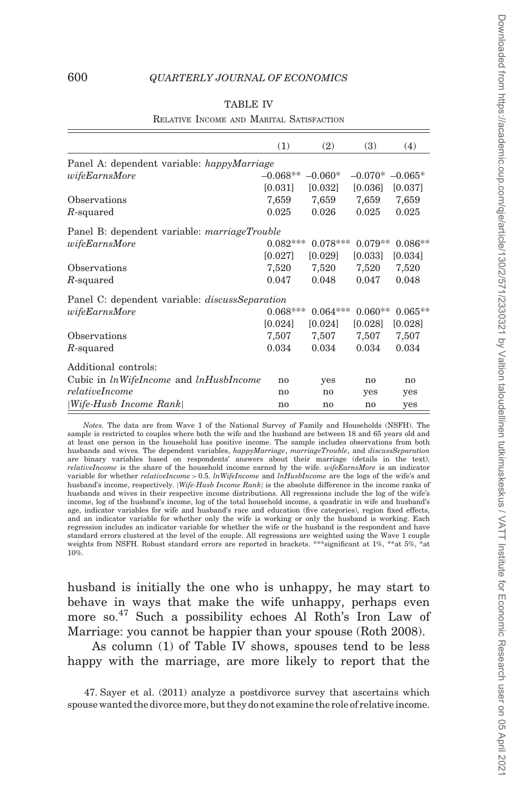|                                                       | (1)        | (2)        | <b>(3)</b> | (4)       |
|-------------------------------------------------------|------------|------------|------------|-----------|
| Panel A: dependent variable: happyMarriage            |            |            |            |           |
| wifeEarnsMore                                         | $-0.068**$ | $-0.060*$  | $-0.070*$  | $-0.065*$ |
|                                                       | [0.031]    | [0.032]    | [0.036]    | [0.037]   |
| Observations                                          | 7,659      | 7,659      | 7,659      | 7,659     |
| $R$ -squared                                          | 0.025      | 0.026      | 0.025      | 0.025     |
| Panel B: dependent variable: marriageTrouble          |            |            |            |           |
| wifeEarnsMore                                         | $0.082***$ | $0.078***$ | $0.079**$  | $0.086**$ |
|                                                       | [0.027]    | [0.029]    | [0.033]    | [0.034]   |
| Observations                                          | 7,520      | 7,520      | 7,520      | 7,520     |
| $R$ -squared                                          | 0.047      | 0.048      | 0.047      | 0.048     |
| Panel C: dependent variable: <i>discussSeparation</i> |            |            |            |           |
| wifeEarnsMore                                         | $0.068***$ | $0.064***$ | $0.060**$  | $0.065**$ |
|                                                       | [0.024]    | [0.024]    | [0.028]    | [0.028]   |
| Observations                                          | 7,507      | 7,507      | 7,507      | 7,507     |
| $R$ -squared                                          | 0.034      | 0.034      | 0.034      | 0.034     |
| Additional controls:                                  |            |            |            |           |
| Cubic in <i>lnWifeIncome</i> and <i>lnHusbIncome</i>  | no         | yes        | no         | no        |
| relativeIncome                                        | no         | no         | yes        | yes       |
| $ Wife-Husb\ Income\ Rank $                           | no         | no         | n0         | yes       |

#### TABLE IV

RELATIVE INCOME AND MARITAL SATISFACTION

*Notes.* The data are from Wave 1 of the National Survey of Family and Households (NSFH). The sample is restricted to couples where both the wife and the husband are between 18 and 65 years old and at least one person in the household has positive income. The sample includes observations from both husbands and wives. The dependent variables, *happyMarriage*, *marriageTrouble*, and *discussSeparation* are binary variables based on respondents' answers about their marriage (details in the text). *relativeIncome* is the share of the household income earned by the wife. *wifeEarnsMore* is an indicator variable for whether *relativeIncome* > 0.5. *lnWifeIncome* and *lnHusbIncome* are the logs of the wife's and husband's income, respectively. j*Wife-Husb Income Rank*j is the absolute difference in the income ranks of husbands and wives in their respective income distributions. All regressions include the log of the wife's income, log of the husband's income, log of the total household income, a quadratic in wife and husband's age, indicator variables for wife and husband's race and education (five categories), region fixed effects, and an indicator variable for whether only the wife is working or only the husband is working. Each regression includes an indicator variable for whether the wife or the husband is the respondent and have standard errors clustered at the level of the couple. All regressions are weighted using the Wave 1 couple weights from NSFH. Robust standard errors are reported in brackets. \*\*\*significant at 1%, \*\*at 5%, \*at 10%.

husband is initially the one who is unhappy, he may start to behave in ways that make the wife unhappy, perhaps even more so.<sup>47</sup> Such a possibility echoes Al Roth's Iron Law of Marriage: you cannot be happier than your spouse (Roth 2008).

As column (1) of Table IV shows, spouses tend to be less happy with the marriage, are more likely to report that the

47. Sayer et al. (2011) analyze a postdivorce survey that ascertains which spouse wanted the divorcemore, but they do not examine the role of relative income.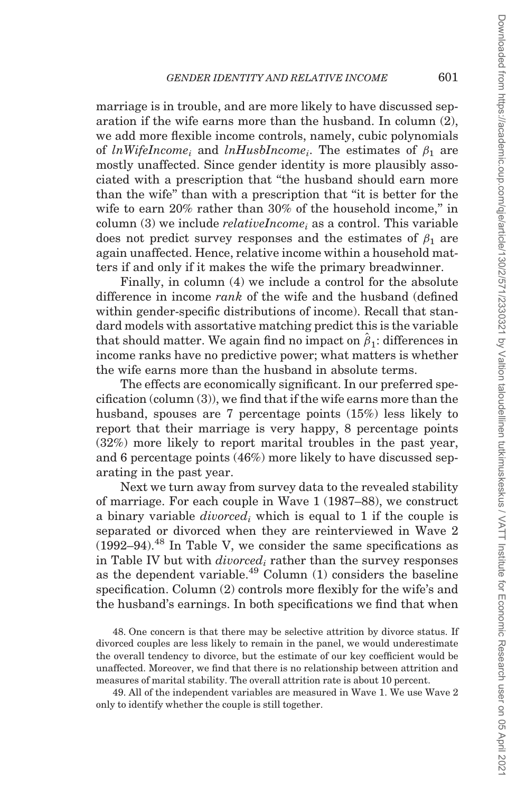marriage is in trouble, and are more likely to have discussed separation if the wife earns more than the husband. In column (2), we add more flexible income controls, namely, cubic polynomials of  $lnWifelncome<sub>i</sub>$  and  $lnHusblncome<sub>i</sub>$ . The estimates of  $\beta_1$  are mostly unaffected. Since gender identity is more plausibly associated with a prescription that ''the husband should earn more than the wife'' than with a prescription that ''it is better for the wife to earn 20% rather than 30% of the household income," in column (3) we include *relativeIncome<sup>i</sup>* as a control. This variable does not predict survey responses and the estimates of  $\beta_1$  are again unaffected. Hence, relative income within a household matters if and only if it makes the wife the primary breadwinner.

Finally, in column (4) we include a control for the absolute difference in income *rank* of the wife and the husband (defined within gender-specific distributions of income). Recall that standard models with assortative matching predict this is the variable that should matter. We again find no impact on  $\hat{\beta}_1$ : differences in income ranks have no predictive power; what matters is whether the wife earns more than the husband in absolute terms.

The effects are economically significant. In our preferred specification (column (3)), we find that if the wife earns more than the husband, spouses are 7 percentage points (15%) less likely to report that their marriage is very happy, 8 percentage points (32%) more likely to report marital troubles in the past year, and 6 percentage points (46%) more likely to have discussed separating in the past year.

Next we turn away from survey data to the revealed stability of marriage. For each couple in Wave 1 (1987–88), we construct a binary variable *divorced<sup>i</sup>* which is equal to 1 if the couple is separated or divorced when they are reinterviewed in Wave 2  $(1992–94).$ <sup>48</sup> In Table V, we consider the same specifications as in Table IV but with *divorced<sup>i</sup>* rather than the survey responses as the dependent variable. $49$  Column (1) considers the baseline specification. Column (2) controls more flexibly for the wife's and the husband's earnings. In both specifications we find that when

48. One concern is that there may be selective attrition by divorce status. If divorced couples are less likely to remain in the panel, we would underestimate the overall tendency to divorce, but the estimate of our key coefficient would be unaffected. Moreover, we find that there is no relationship between attrition and measures of marital stability. The overall attrition rate is about 10 percent.

49. All of the independent variables are measured in Wave 1. We use Wave 2 only to identify whether the couple is still together.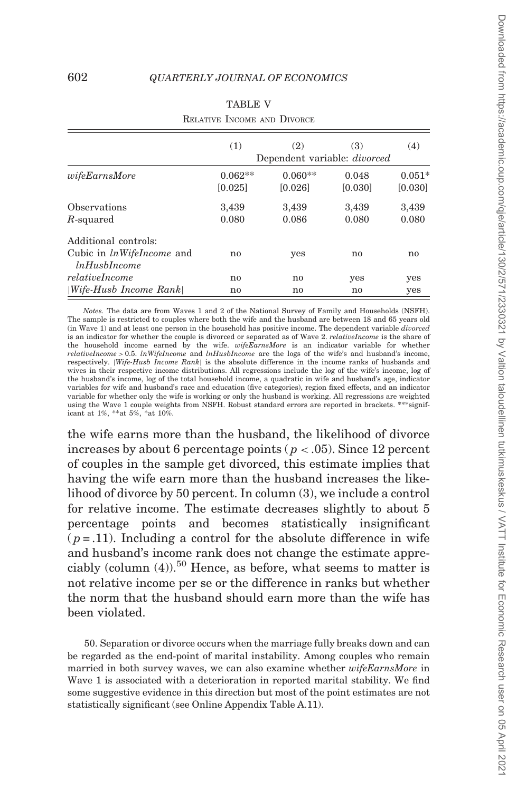|                                                     | (1)                  | (2)                          | (3)              | (4)                 |
|-----------------------------------------------------|----------------------|------------------------------|------------------|---------------------|
|                                                     |                      | Dependent variable: divorced |                  |                     |
| wifeEarnsMore                                       | $0.062**$<br>[0.025] | $0.060**$<br>[0.026]         | 0.048<br>[0.030] | $0.051*$<br>[0.030] |
| Observations<br>$R$ -squared                        | 3,439<br>0.080       | 3,439<br>0.086               | 3,439<br>0.080   | 3,439<br>0.080      |
| Additional controls:                                |                      |                              |                  |                     |
| Cubic in <i>lnWifeIncome</i> and<br>$lnH$ usbIncome | no                   | yes                          | no               | no                  |
| relativeIncome                                      | no                   | no.                          | yes              | yes                 |
| $ Wife-Husb\ Income\ Rank $                         | no                   | no.                          | no               | yes                 |

|                             | <b>TABLE V</b> |  |
|-----------------------------|----------------|--|
| RELATIVE INCOME AND DIVORCE |                |  |

*Notes.* The data are from Waves 1 and 2 of the National Survey of Family and Households (NSFH). The sample is restricted to couples where both the wife and the husband are between 18 and 65 years old (in Wave 1) and at least one person in the household has positive income. The dependent variable *divorced* is an indicator for whether the couple is divorced or separated as of Wave 2. *relativeIncome* is the share of the household income earned by the wife. *wifeEarnsMore* is an indicator variable for whether *relativeIncome* > 0.5. *lnWifeIncome* and *lnHusbIncome* are the logs of the wife's and husband's income, respectively. j*Wife-Husb Income Rank*j is the absolute difference in the income ranks of husbands and wives in their respective income distributions. All regressions include the log of the wife's income, log of the husband's income, log of the total household income, a quadratic in wife and husband's age, indicator variables for wife and husband's race and education (five categories), region fixed effects, and an indicator variable for whether only the wife is working or only the husband is working. All regressions are weighted using the Wave 1 couple weights from NSFH. Robust standard errors are reported in brackets. \*\*\*significant at 1%, \*\*at 5%, \*at 10%.

the wife earns more than the husband, the likelihood of divorce increases by about 6 percentage points ( $p < .05$ ). Since 12 percent of couples in the sample get divorced, this estimate implies that having the wife earn more than the husband increases the likelihood of divorce by 50 percent. In column (3), we include a control for relative income. The estimate decreases slightly to about 5 percentage points and becomes statistically insignificant  $(p=.11)$ . Including a control for the absolute difference in wife and husband's income rank does not change the estimate appreciably (column  $(4)$ ).<sup>50</sup> Hence, as before, what seems to matter is not relative income per se or the difference in ranks but whether the norm that the husband should earn more than the wife has been violated.

50. Separation or divorce occurs when the marriage fully breaks down and can be regarded as the end-point of marital instability. Among couples who remain married in both survey waves, we can also examine whether *wifeEarnsMore* in Wave 1 is associated with a deterioration in reported marital stability. We find some suggestive evidence in this direction but most of the point estimates are not statistically significant (see Online Appendix Table A.11).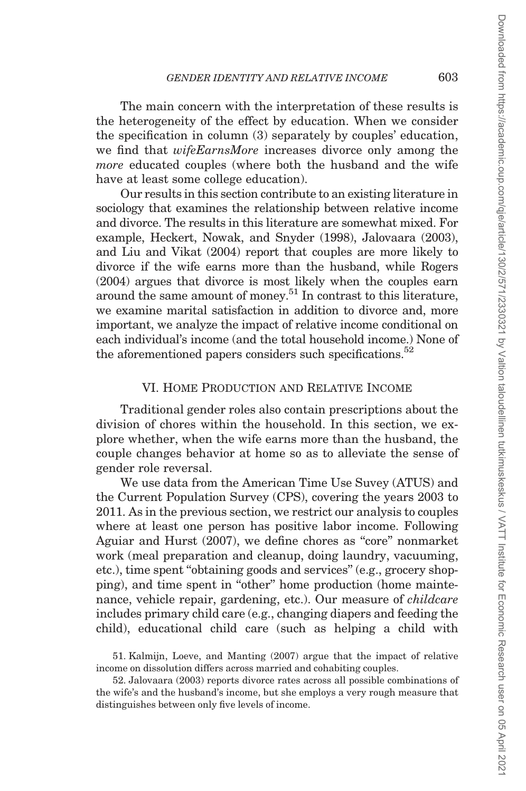The main concern with the interpretation of these results is the heterogeneity of the effect by education. When we consider the specification in column (3) separately by couples' education, we find that *wifeEarnsMore* increases divorce only among the *more* educated couples (where both the husband and the wife have at least some college education).

Our results in this section contribute to an existing literature in sociology that examines the relationship between relative income and divorce. The results in this literature are somewhat mixed. For example, Heckert, Nowak, and Snyder (1998), Jalovaara (2003), and Liu and Vikat (2004) report that couples are more likely to divorce if the wife earns more than the husband, while Rogers (2004) argues that divorce is most likely when the couples earn around the same amount of money.<sup>51</sup> In contrast to this literature, we examine marital satisfaction in addition to divorce and, more important, we analyze the impact of relative income conditional on each individual's income (and the total household income.) None of the aforementioned papers considers such specifications. $52$ 

#### VI. Home Production and Relative Income

Traditional gender roles also contain prescriptions about the division of chores within the household. In this section, we explore whether, when the wife earns more than the husband, the couple changes behavior at home so as to alleviate the sense of gender role reversal.

We use data from the American Time Use Suvey (ATUS) and the Current Population Survey (CPS), covering the years 2003 to 2011. As in the previous section, we restrict our analysis to couples where at least one person has positive labor income. Following Aguiar and Hurst (2007), we define chores as ''core'' nonmarket work (meal preparation and cleanup, doing laundry, vacuuming, etc.), time spent ''obtaining goods and services'' (e.g., grocery shopping), and time spent in "other" home production (home maintenance, vehicle repair, gardening, etc.). Our measure of *childcare* includes primary child care (e.g., changing diapers and feeding the child), educational child care (such as helping a child with

51. Kalmijn, Loeve, and Manting (2007) argue that the impact of relative income on dissolution differs across married and cohabiting couples.

52. Jalovaara (2003) reports divorce rates across all possible combinations of the wife's and the husband's income, but she employs a very rough measure that distinguishes between only five levels of income.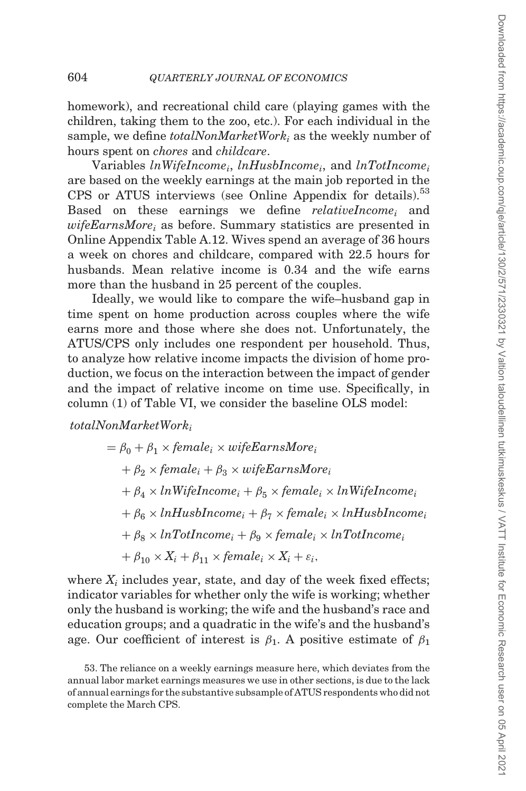homework), and recreational child care (playing games with the children, taking them to the zoo, etc.). For each individual in the sample, we define *totalNonMarketWork<sup>i</sup>* as the weekly number of hours spent on *chores* and *childcare*.

Variables *lnWifeIncome<sup>i</sup>* , *lnHusbIncome<sup>i</sup>* , and *lnTotIncome<sup>i</sup>* are based on the weekly earnings at the main job reported in the CPS or ATUS interviews (see Online Appendix for details).<sup>53</sup> Based on these earnings we define *relativeIncome<sup>i</sup>* and *wifeEarnsMore<sup>i</sup>* as before. Summary statistics are presented in Online Appendix Table A.12. Wives spend an average of 36 hours a week on chores and childcare, compared with 22.5 hours for husbands. Mean relative income is 0.34 and the wife earns more than the husband in 25 percent of the couples.

Ideally, we would like to compare the wife–husband gap in time spent on home production across couples where the wife earns more and those where she does not. Unfortunately, the ATUS/CPS only includes one respondent per household. Thus, to analyze how relative income impacts the division of home production, we focus on the interaction between the impact of gender and the impact of relative income on time use. Specifically, in column (1) of Table VI, we consider the baseline OLS model:

*totalNonMarketWork<sup>i</sup>*

 $= \beta_0 + \beta_1 \times female_i \times wifeEarnsMore_i$  $+ \beta_2 \times female_i + \beta_3 \times wifeEarnsMore_i$  $+ \beta_4 \times ln \text{Wifelncome}_i + \beta_5 \times female_i \times ln \text{Wifelncome}_i$  $+ \beta_6 \times lnHushIncome_i + \beta_7 \times female_i \times lnHusbIncome_i$  $+\beta_8 \times lnTotIncome_i + \beta_9 \times female_i \times lnTotIncome_i$  $+ \beta_{10} \times X_i + \beta_{11} \times female_i \times X_i + \varepsilon_i,$ 

where  $X_i$  includes year, state, and day of the week fixed effects; indicator variables for whether only the wife is working; whether only the husband is working; the wife and the husband's race and education groups; and a quadratic in the wife's and the husband's age. Our coefficient of interest is  $\beta_1$ . A positive estimate of  $\beta_1$ 

<sup>53.</sup> The reliance on a weekly earnings measure here, which deviates from the annual labor market earnings measures we use in other sections, is due to the lack of annual earnings for the substantive subsample of ATUS respondents who did not complete the March CPS.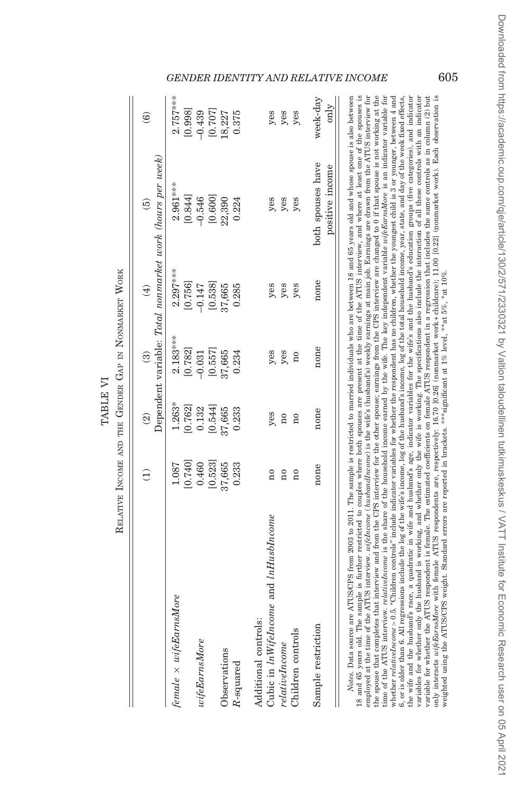|                                                                                                       | Э                                         | $\widehat{\mathfrak{D}}$ | $\widehat{\mathbf{e}}$ | $\bigoplus$ | Dependent variable: Total nonmarket work (hours per week)<br>$\widehat{e}$ | $\widehat{\mathbf{6}}$  |
|-------------------------------------------------------------------------------------------------------|-------------------------------------------|--------------------------|------------------------|-------------|----------------------------------------------------------------------------|-------------------------|
| female x wifeEarnsMore                                                                                | [0.740]                                   | 1.263*                   | $2.183***$             | $2.297***$  | 2.961 ***                                                                  | $2.757***$              |
|                                                                                                       | 1.087                                     | [0.762]                  | [0.782]                | [0.756]     | [0.844]                                                                    | [0.998]                 |
| wifeEarnsMore                                                                                         | [0.523]                                   | [0.544]                  | [0.557]                | [0.538]     | [0.600]                                                                    | [0.707]                 |
|                                                                                                       | 0.460                                     | 0.132                    | $-0.031$               | $-0.147$    | $-0.546$                                                                   | $-0.439$                |
| Observations                                                                                          | 37,665                                    | 37,665                   | 37,665                 | 37,665      | 22,390                                                                     | 0.375                   |
| R-squared                                                                                             | 0.233                                     | 0.233                    | 0.234                  | 0.285       | 0.224                                                                      | 18,227                  |
| Cubic in lnWifeIncome and lnHusbIncome<br>Additional controls:<br>Children controls<br>relativeIncome | $\overline{a}$<br>$\overline{\mathrm{n}}$ | yes<br>no                | yes<br>yes             | yes<br>yes  | yes<br>yes                                                                 | yes<br>$y$ es           |
| Sample restriction                                                                                    | none<br>$\overline{a}$                    | none<br>n0               | none<br>$\overline{a}$ | none<br>yes | both spouses have<br>positive income<br>yes                                | week-day<br>only<br>yes |

 $W<sub>0</sub>$ NONMARKET G<br>Games TABLE VI GENDER ŀ

 $\overline{a}$ 

еннроучет ав цве шне от цвета со пиектоко, *порегисоваться в с*овменность в систему высшеду автомативу автоматив<br>В примерение от продолжно последнительно пример, которые пример, по совмещения пример, по совмещении поддерж ime of the ATUS interview, *relativelneome* is the share of the household income earned by the wife. The key independent variable *wife.BarnsMore* is an indicator variable for whether *relativelncome*  $> 0.5$ . "Children controls" include indicator variables for whether the respondent has no children, whether the youngest child is 3 or younger, between 4 and 6, or is older than 6. All regressions include the log of the wife's income, log of the husband's income, log of the total household income, year, state, and day of the week fixed effects, the wife and the husband's race, a quadratic in wife and husband's age, indicator variables for the wife's and the husband's education groups (five categories), and indicator variables for whether only the husband is working, and whether only the wife is working. The specifications also include the interaction of all these controls with an indicator variable for whether the ATUS respondent is female. The estimated coefficients on female ATUS respondent in a regression that includes the same controls as in column (2) but only interacts wifeEarnsMore with female ATUS respondents are, respectively: 16.70 [0.26] (nonmarket work -childcare): 11.00 [0.22] (nonmarket work). Each observation is only interacts *wifeEarnsMore* with female ATUS respondents are, respectively: 16.70 [0.26] (nonmarket work + childcare); 11.00 [0.22] (nonmarket work). Each observation is employed at the time of the ATUS interview. *wifeIncome* ( *husbandIncome*) is the wife's (husband's) weekly earnings at main job. Earnings are drawn from the ATUS interview for the spouse that completes that interview and from the CPS interview for the other spouse; earnings from the CPS interview are changed to 0 if that spouse is not working at the time of the ATUS interview. *relativeIncome* is the share of the household income earned by the wife. The key independent variable *wifeEarnsMore* is an indicator variable for whether *relativeIncome* > 0.5. ''Children controls'' include indicator variables for whether the spondent has no children, whether the youngest child is 3 or younger, between 4 and 6, or is older than 6. All regressions include the log of the wife's income, log of the total household income, year, state, and day of the week fixed effects, the wife and the husband's race, a quadratic in wife and husband's age, indicator variables for the wife's and the husband's education groups (five categories), and indicator variables for whether only the husband is working, and whether only the wife is working. The specifications also include the interaction of all these controls with an indicator variable for whether the ATUS respondent is female. The estimated coefficients on female ATUS respondent in a regression that includes the same controls as in column (2) but weighted using the ATUS/CPS weight. Standard errors are reported in brackets. \*\*\*significant at 1% level, \*\*at 5%, \*at 10%. weighted using the ATUS/CPS weight. Standard errors are reported in brackets. \*\*\*significant at 1% level, \*\*at 5%, \*at 10%.

## *GENDER IDENTITY AND RELATIVE INCOME* 605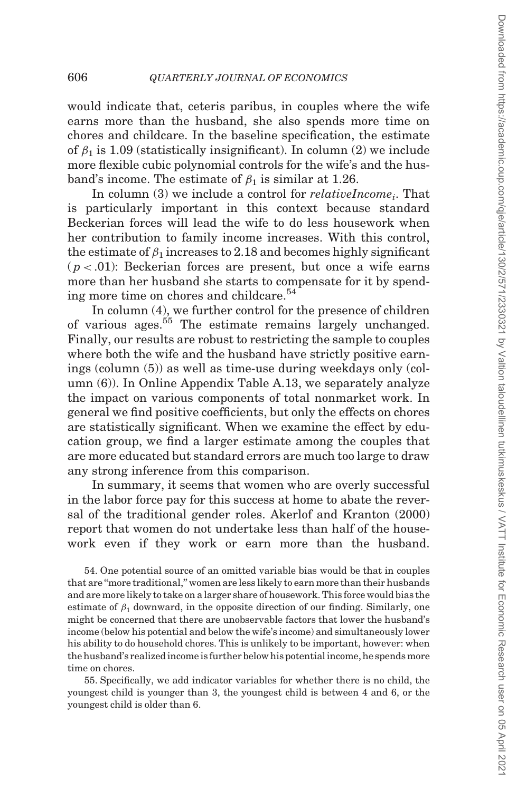would indicate that, ceteris paribus, in couples where the wife earns more than the husband, she also spends more time on chores and childcare. In the baseline specification, the estimate of  $\beta_1$  is 1.09 (statistically insignificant). In column (2) we include more flexible cubic polynomial controls for the wife's and the husband's income. The estimate of  $\beta_1$  is similar at 1.26.

In column (3) we include a control for *relativeIncome<sup>i</sup>* . That is particularly important in this context because standard Beckerian forces will lead the wife to do less housework when her contribution to family income increases. With this control, the estimate of  $\beta_1$  increases to 2.18 and becomes highly significant  $(p < .01)$ : Beckerian forces are present, but once a wife earns more than her husband she starts to compensate for it by spending more time on chores and childcare.<sup>54</sup>

In column (4), we further control for the presence of children of various ages.<sup>55</sup> The estimate remains largely unchanged. Finally, our results are robust to restricting the sample to couples where both the wife and the husband have strictly positive earnings (column (5)) as well as time-use during weekdays only (column (6)). In Online Appendix Table A.13, we separately analyze the impact on various components of total nonmarket work. In general we find positive coefficients, but only the effects on chores are statistically significant. When we examine the effect by education group, we find a larger estimate among the couples that are more educated but standard errors are much too large to draw any strong inference from this comparison.

In summary, it seems that women who are overly successful in the labor force pay for this success at home to abate the reversal of the traditional gender roles. Akerlof and Kranton (2000) report that women do not undertake less than half of the housework even if they work or earn more than the husband.

54. One potential source of an omitted variable bias would be that in couples that are ''more traditional,'' women are less likely to earn more than their husbands and are more likely to take on a larger share of housework. This force would bias the estimate of  $\beta_1$  downward, in the opposite direction of our finding. Similarly, one might be concerned that there are unobservable factors that lower the husband's income (below his potential and below the wife's income) and simultaneously lower his ability to do household chores. This is unlikely to be important, however: when the husband's realized income is further below his potential income, he spends more time on chores.

55. Specifically, we add indicator variables for whether there is no child, the youngest child is younger than 3, the youngest child is between 4 and 6, or the youngest child is older than 6.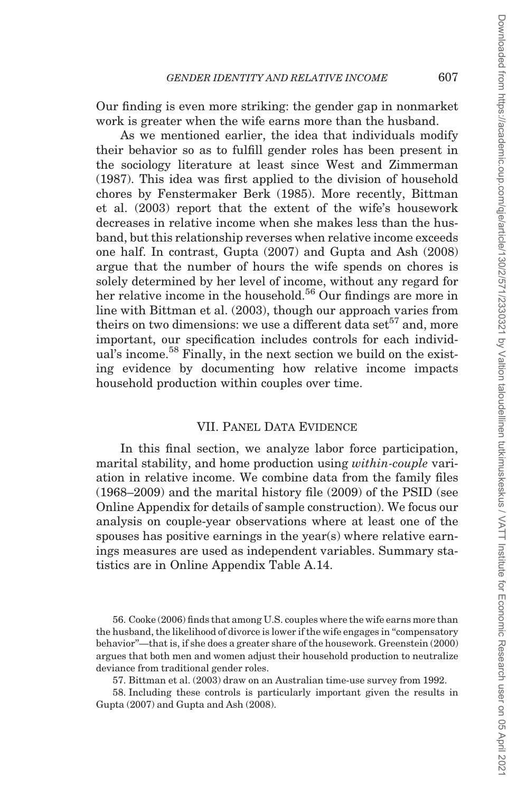Our finding is even more striking: the gender gap in nonmarket work is greater when the wife earns more than the husband.

As we mentioned earlier, the idea that individuals modify their behavior so as to fulfill gender roles has been present in the sociology literature at least since West and Zimmerman (1987). This idea was first applied to the division of household chores by Fenstermaker Berk (1985). More recently, Bittman et al. (2003) report that the extent of the wife's housework decreases in relative income when she makes less than the husband, but this relationship reverses when relative income exceeds one half. In contrast, Gupta (2007) and Gupta and Ash (2008) argue that the number of hours the wife spends on chores is solely determined by her level of income, without any regard for her relative income in the household.<sup>56</sup> Our findings are more in line with Bittman et al. (2003), though our approach varies from theirs on two dimensions: we use a different data set<sup>57</sup> and, more important, our specification includes controls for each individual's income.<sup>58</sup> Finally, in the next section we build on the existing evidence by documenting how relative income impacts household production within couples over time.

## VII. Panel Data Evidence

In this final section, we analyze labor force participation, marital stability, and home production using *within-couple* variation in relative income. We combine data from the family files (1968–2009) and the marital history file (2009) of the PSID (see Online Appendix for details of sample construction). We focus our analysis on couple-year observations where at least one of the spouses has positive earnings in the year(s) where relative earnings measures are used as independent variables. Summary statistics are in Online Appendix Table A.14.

56. Cooke (2006) finds that among U.S. couples where the wife earns more than the husband, the likelihood of divorce is lower if the wife engages in ''compensatory behavior''—that is, if she does a greater share of the housework. Greenstein (2000) argues that both men and women adjust their household production to neutralize deviance from traditional gender roles.

57. Bittman et al. (2003) draw on an Australian time-use survey from 1992.

58. Including these controls is particularly important given the results in Gupta (2007) and Gupta and Ash (2008).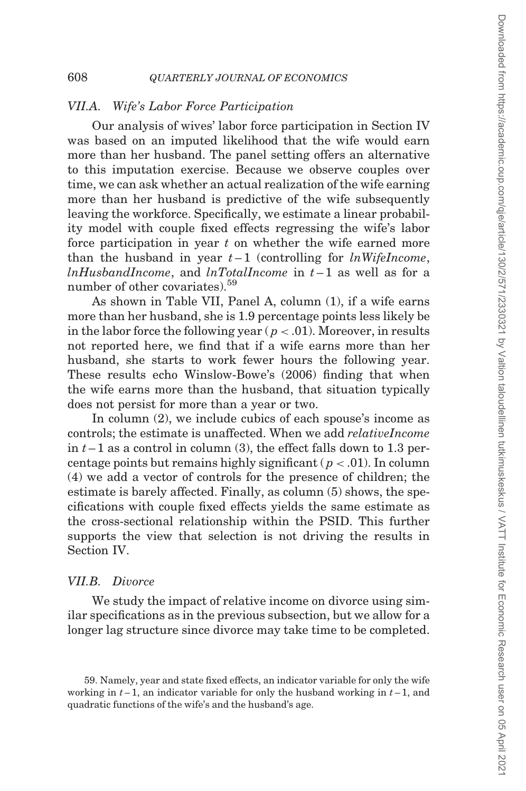#### *VII.A. Wife's Labor Force Participation*

Our analysis of wives' labor force participation in Section IV was based on an imputed likelihood that the wife would earn more than her husband. The panel setting offers an alternative to this imputation exercise. Because we observe couples over time, we can ask whether an actual realization of the wife earning more than her husband is predictive of the wife subsequently leaving the workforce. Specifically, we estimate a linear probability model with couple fixed effects regressing the wife's labor force participation in year *t* on whether the wife earned more than the husband in year  $t-1$  (controlling for  $lnW$ *ifeIncome*, *lnHusbandIncome*, and *lnTotalIncome* in *t* – 1 as well as for a number of other covariates).<sup>59</sup>

As shown in Table VII, Panel A, column (1), if a wife earns more than her husband, she is 1.9 percentage points less likely be in the labor force the following year  $(p < .01)$ . Moreover, in results not reported here, we find that if a wife earns more than her husband, she starts to work fewer hours the following year. These results echo Winslow-Bowe's (2006) finding that when the wife earns more than the husband, that situation typically does not persist for more than a year or two.

In column (2), we include cubics of each spouse's income as controls; the estimate is unaffected. When we add *relativeIncome* in  $t-1$  as a control in column (3), the effect falls down to 1.3 percentage points but remains highly significant  $(p < .01)$ . In column (4) we add a vector of controls for the presence of children; the estimate is barely affected. Finally, as column (5) shows, the specifications with couple fixed effects yields the same estimate as the cross-sectional relationship within the PSID. This further supports the view that selection is not driving the results in Section IV.

#### *VII.B. Divorce*

We study the impact of relative income on divorce using similar specifications as in the previous subsection, but we allow for a longer lag structure since divorce may take time to be completed.

<sup>59.</sup> Namely, year and state fixed effects, an indicator variable for only the wife working in  $t-1$ , an indicator variable for only the husband working in  $t-1$ , and quadratic functions of the wife's and the husband's age.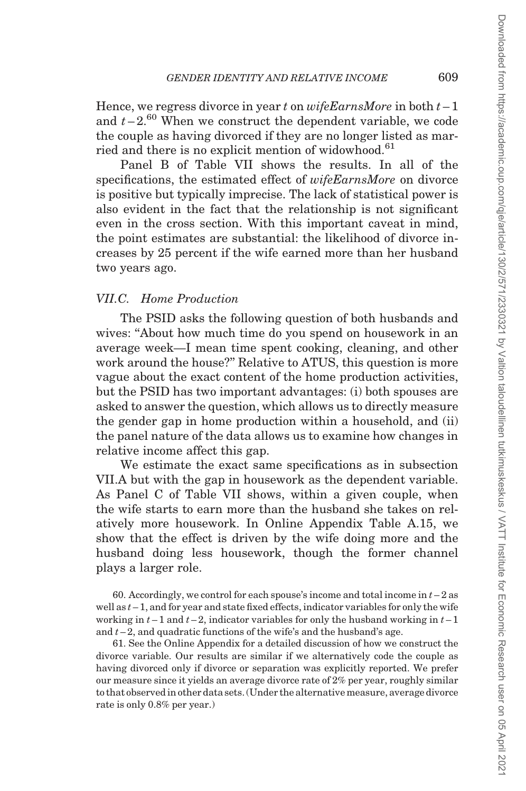Hence, we regress divorce in year *t* on *wifeEarnsMore* in both *t* – 1 and  $t - 2$ <sup>60</sup> When we construct the dependent variable, we code the couple as having divorced if they are no longer listed as married and there is no explicit mention of widowhood.<sup>61</sup>

Panel B of Table VII shows the results. In all of the specifications, the estimated effect of *wifeEarnsMore* on divorce is positive but typically imprecise. The lack of statistical power is also evident in the fact that the relationship is not significant even in the cross section. With this important caveat in mind, the point estimates are substantial: the likelihood of divorce increases by 25 percent if the wife earned more than her husband two years ago.

## *VII.C. Home Production*

The PSID asks the following question of both husbands and wives: "About how much time do you spend on housework in an average week—I mean time spent cooking, cleaning, and other work around the house?'' Relative to ATUS, this question is more vague about the exact content of the home production activities, but the PSID has two important advantages: (i) both spouses are asked to answer the question, which allows us to directly measure the gender gap in home production within a household, and (ii) the panel nature of the data allows us to examine how changes in relative income affect this gap.

We estimate the exact same specifications as in subsection VII.A but with the gap in housework as the dependent variable. As Panel C of Table VII shows, within a given couple, when the wife starts to earn more than the husband she takes on relatively more housework. In Online Appendix Table A.15, we show that the effect is driven by the wife doing more and the husband doing less housework, though the former channel plays a larger role.

60. Accordingly, we control for each spouse's income and total income in  $t-2$  as well as *t* – 1, and for year and state fixed effects, indicator variables for only the wife working in  $t-1$  and  $t-2$ , indicator variables for only the husband working in  $t-1$ and  $t-2$ , and quadratic functions of the wife's and the husband's age.

61. See the Online Appendix for a detailed discussion of how we construct the divorce variable. Our results are similar if we alternatively code the couple as having divorced only if divorce or separation was explicitly reported. We prefer our measure since it yields an average divorce rate of 2% per year, roughly similar to that observed in other data sets. (Under the alternative measure, average divorce rate is only 0.8% per year.)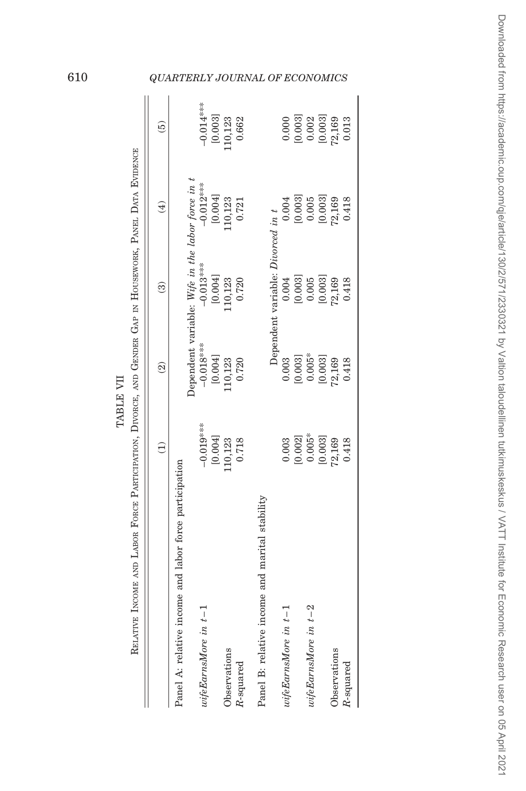| RELATIVE INCOME AND LABOR FORCE PARTICIPATION, DIVORCE, AND GENDER GAP IN HOUSEWORK, PANEL DATA EVIDENCE |                      |                          |                                                  |                                                                        |                                                                      |
|----------------------------------------------------------------------------------------------------------|----------------------|--------------------------|--------------------------------------------------|------------------------------------------------------------------------|----------------------------------------------------------------------|
|                                                                                                          | $\widehat{\Xi}$      | $\widehat{\mathfrak{D}}$ | $\widehat{\mathcal{C}}$                          | $\bigoplus$                                                            | $\widehat{e}$                                                        |
| Panel A: relative income and labor force participation                                                   |                      |                          |                                                  |                                                                        |                                                                      |
|                                                                                                          |                      |                          | Dependent variable: Wife in the labor force in t |                                                                        |                                                                      |
| $w$ ifeEarnsMore in $t-1$                                                                                | $-0.019***$          | $-0.018***$              | $-0.013***$                                      | $-0.012***$                                                            | $-0.014***$                                                          |
|                                                                                                          |                      |                          |                                                  |                                                                        |                                                                      |
| Observations                                                                                             | $[0.004]$<br>110,123 | $[0.004]$<br>$110,123$   | $[0.004]$<br>110,123                             | $[0.004]$<br>$110,123$                                                 | $[0.003]$<br>110,123                                                 |
| R-squared                                                                                                | 0.718                | 0.720                    | 0.720                                            | 0.721                                                                  | 0.662                                                                |
| Panel B: relative income and marital stability                                                           |                      |                          |                                                  |                                                                        |                                                                      |
|                                                                                                          |                      |                          | Dependent variable: Divorced in t                |                                                                        |                                                                      |
| $w$ ifeEarnsMore in $t-1$                                                                                | 0.003                | 0.003                    | 0.004                                            | 0.004                                                                  | 0.000                                                                |
|                                                                                                          | [0.002]              | $[0.003]$<br>$0.005*$    | $[0.003]$<br>$0.005$                             |                                                                        |                                                                      |
| $wieEarnsMore in t-2$                                                                                    | $0.005*$             |                          |                                                  |                                                                        |                                                                      |
|                                                                                                          | [0.003]              | [0.003]                  | $\left[0.003\right]$                             | $\begin{array}{c} [0.003] \\ 0.005 \\ [0.003] \\ [72,169] \end{array}$ | $\begin{array}{c} [0.003] \\ 0.002 \\ [0.003] \\ 72,169 \end{array}$ |
| Observations                                                                                             | 72,169               | 72,169                   | 72,169                                           |                                                                        |                                                                      |
| $R$ -squared                                                                                             | 0.418                | 0.418                    | 0.418                                            | 0.418                                                                  | 0.013                                                                |

Downloaded from https://academic.oup.com/qje/article/130/2/571/2330321 by Valtion taloudellinen tutkimuskeskus / VATT Institute for Economic Research user on 05 April 2021 Downloaded from https://academic.oup.com/qje/article/130/2/571/2330321 by Valtion taloudellinen tutkimuskeskus / VATT Institute for Economic Research user on 05 April 2021

TABLE VII

610 *QUARTERLY JOURNAL OF ECONOMICS*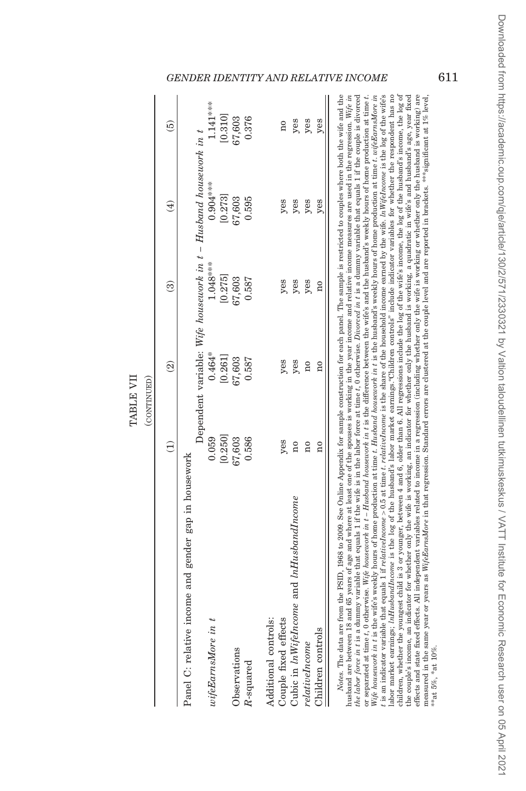|                                                                                                                                                                                                                                                                                                                                                                                                                                                                                                                                                                                                                                                                                                                                                                                                                                                                                                                                                                                                                                                                                                                                         |                         | TABLE VII<br>(CONTINUED) |          |                                                                      |                         |
|-----------------------------------------------------------------------------------------------------------------------------------------------------------------------------------------------------------------------------------------------------------------------------------------------------------------------------------------------------------------------------------------------------------------------------------------------------------------------------------------------------------------------------------------------------------------------------------------------------------------------------------------------------------------------------------------------------------------------------------------------------------------------------------------------------------------------------------------------------------------------------------------------------------------------------------------------------------------------------------------------------------------------------------------------------------------------------------------------------------------------------------------|-------------------------|--------------------------|----------|----------------------------------------------------------------------|-------------------------|
|                                                                                                                                                                                                                                                                                                                                                                                                                                                                                                                                                                                                                                                                                                                                                                                                                                                                                                                                                                                                                                                                                                                                         | $\ominus$               | $\widehat{\mathfrak{D}}$ | ම        | $\bigoplus$                                                          | ම                       |
| Panel C: relative income and gender gap in housework                                                                                                                                                                                                                                                                                                                                                                                                                                                                                                                                                                                                                                                                                                                                                                                                                                                                                                                                                                                                                                                                                    |                         |                          |          |                                                                      |                         |
|                                                                                                                                                                                                                                                                                                                                                                                                                                                                                                                                                                                                                                                                                                                                                                                                                                                                                                                                                                                                                                                                                                                                         |                         |                          |          | Dependent variable: Wife housework in $t$ – Husband housework in $t$ |                         |
| wifeEarnsMore in t                                                                                                                                                                                                                                                                                                                                                                                                                                                                                                                                                                                                                                                                                                                                                                                                                                                                                                                                                                                                                                                                                                                      | 0.059                   | $0.464*$                 | 1.048*** | $0.904***$                                                           | $1.141***$              |
|                                                                                                                                                                                                                                                                                                                                                                                                                                                                                                                                                                                                                                                                                                                                                                                                                                                                                                                                                                                                                                                                                                                                         | [0.250]                 | [0.261]                  | [0.275]  | [0.273]                                                              | [0.310]                 |
| Observations                                                                                                                                                                                                                                                                                                                                                                                                                                                                                                                                                                                                                                                                                                                                                                                                                                                                                                                                                                                                                                                                                                                            | 67,603                  | 67,603                   | 67,603   | 67,603                                                               | 67,603                  |
| R-squared                                                                                                                                                                                                                                                                                                                                                                                                                                                                                                                                                                                                                                                                                                                                                                                                                                                                                                                                                                                                                                                                                                                               | 0.586                   | 0.587                    | 0.587    | 0.595                                                                | 0.376                   |
| Additional controls:                                                                                                                                                                                                                                                                                                                                                                                                                                                                                                                                                                                                                                                                                                                                                                                                                                                                                                                                                                                                                                                                                                                    |                         |                          |          |                                                                      |                         |
| Couple fixed effects                                                                                                                                                                                                                                                                                                                                                                                                                                                                                                                                                                                                                                                                                                                                                                                                                                                                                                                                                                                                                                                                                                                    | yes                     | yes                      | $y$ es   | yes                                                                  | $\overline{\mathrm{m}}$ |
| Cubic in lnWifeIncome and lnHusbandIncome                                                                                                                                                                                                                                                                                                                                                                                                                                                                                                                                                                                                                                                                                                                                                                                                                                                                                                                                                                                                                                                                                               | $\overline{\rm n}$      | yes                      | yes      | yes                                                                  | yes                     |
| relativeIncome                                                                                                                                                                                                                                                                                                                                                                                                                                                                                                                                                                                                                                                                                                                                                                                                                                                                                                                                                                                                                                                                                                                          | $\overline{\mathrm{m}}$ | $\overline{a}$           | yes      | yes                                                                  | yes                     |
| Children controls                                                                                                                                                                                                                                                                                                                                                                                                                                                                                                                                                                                                                                                                                                                                                                                                                                                                                                                                                                                                                                                                                                                       | $\overline{\rm{a}}$     | $\overline{a}$           | no       | yes                                                                  | yes                     |
| Notes. The data are from the PSID, 1968 to 2009. See Online Appendix for sample construction for each panel. The sample is restricted to couples where both the wife and the<br>t is an indicator variable that equals 1 if relativelncome > 0.5 at time t. relativelncome is the share of the household income earned by the wife. h Wifelncome is the log of the wife's<br>husband are between 18 and 65 years of age and where at least one of the spouses is working in the year income and relative income measures are used in the regression. Wife in<br>the labor force in t is a dummy variable that equals 1 if the wife is in the labor force at time t, 0 otherwise. Divorced in t is a dummy variable that equals 1 if the couple is divorced<br>or separated at time t, 0 otherwise. Wife housework in $t$ - Husband housework in t is the difference between the wife's and the husband's weekly hours of home production at time t.<br>Wife housework in t is the wife's weekly hours of home production at time t. Husband housework in t is the husband's weekly hours of home production at time t. wifeBarnsMore in |                         |                          |          |                                                                      |                         |

## *GENDER IDENTITY AND RELATIVE INCOME* 611

 is an indicator variable that equals 1 if *relativeIncome* > 0.5 at time *t*. *relativeIncome* is the share of the household income earned by the wife. *lnWifeIncome* is the log of the wife's labor market earnings; *lnHusbandIncome* is the log of the husband's labor market earnings.''Children controls'' include indicator variables for whether the respondent has no children, whether the youngest child is 3 or younger, between 4 and 6, older than 6. All regressions include the log of the wife's income, the log of the husband's income, the log of the husband's income, the log of the couple's income, an indicator for whether only the wife is working, an indicator for whether only the husband is working, a quadratic in wife's and husband's age, year fixed effects and state fixed effects. All independent variables related to income in a regression (including whether only the wife is working or whether only the husband is working) are measured in the same year or years as *WifeEarnsMore* in that regression. Standard errors are clustered at the couple level and are reported in brackets. \*\*\*significant at 1% level,

labor market earnings; *InHusbandIncome* is the log of the husband's labor market earnings."Children controls" include indicator variables for whether the respondent has no children, whether the youngest child is 3 or younger, between 4 and 6, older than 6. All regressions include the log of the wife's income, the log of the husband's income, the log of the state in the log of the state incom the couple's income, an indicator for whether only the wife is working, an indicator for whether only the husband is working, a quadratic in wife's and husband's age, year fixed effects and state fixed effects. All independent variables related to income in a regression (including whether only the wife is working or whether only the husband is working) are measured in the same year or years as Wi*teBarnsMore* in that regression. Standard errors are clustered at the couple level and are reported in brackets. \*\*\*significant at 1% level,

\*\*at  $5\%$ , \*at  $10\%$ .

\*\*at  $5\%$ , \*at  $10\%$ .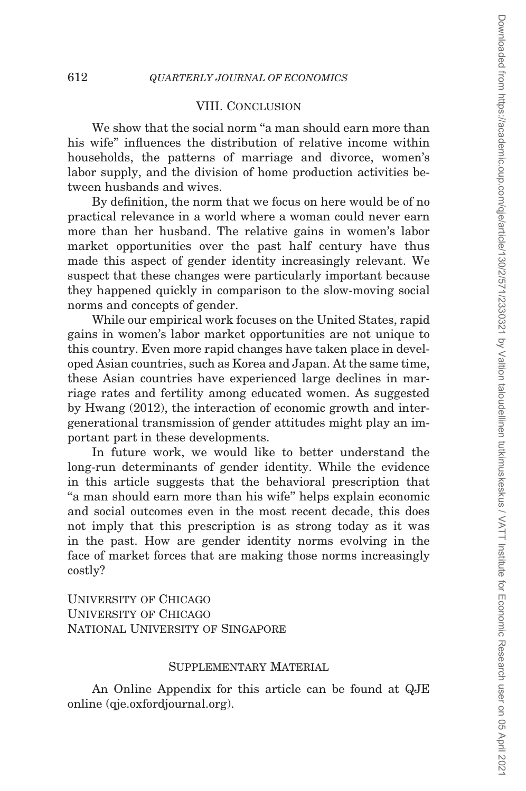## VIII. Conclusion

We show that the social norm "a man should earn more than his wife'' influences the distribution of relative income within households, the patterns of marriage and divorce, women's labor supply, and the division of home production activities between husbands and wives.

By definition, the norm that we focus on here would be of no practical relevance in a world where a woman could never earn more than her husband. The relative gains in women's labor market opportunities over the past half century have thus made this aspect of gender identity increasingly relevant. We suspect that these changes were particularly important because they happened quickly in comparison to the slow-moving social norms and concepts of gender.

While our empirical work focuses on the United States, rapid gains in women's labor market opportunities are not unique to this country. Even more rapid changes have taken place in developed Asian countries, such as Korea and Japan. At the same time, these Asian countries have experienced large declines in marriage rates and fertility among educated women. As suggested by Hwang (2012), the interaction of economic growth and intergenerational transmission of gender attitudes might play an important part in these developments.

In future work, we would like to better understand the long-run determinants of gender identity. While the evidence in this article suggests that the behavioral prescription that "a man should earn more than his wife" helps explain economic and social outcomes even in the most recent decade, this does not imply that this prescription is as strong today as it was in the past. How are gender identity norms evolving in the face of market forces that are making those norms increasingly costly?

University of Chicago University of Chicago National University of Singapore

### SUPPLEMENTARY MATERIAL

An Online Appendix for this article can be found at QJE online (qje.oxfordjournal.org).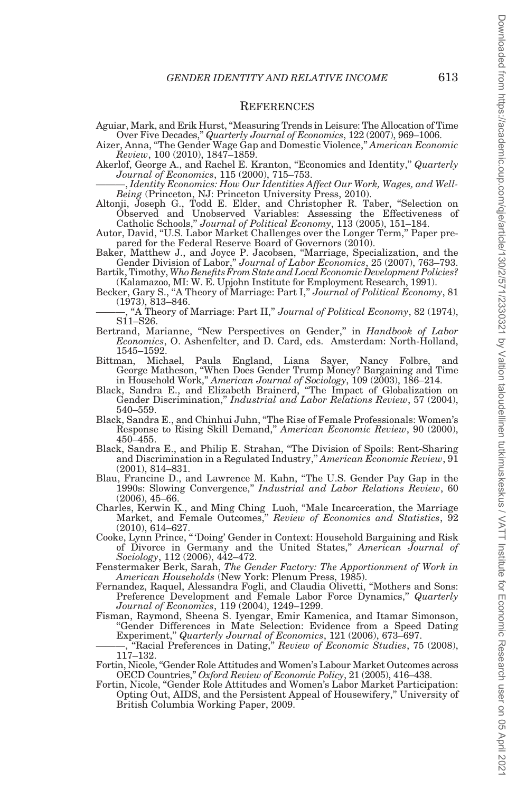#### **REFERENCES**

Aguiar, Mark, and Erik Hurst, ''Measuring Trends in Leisure: The Allocation of Time Over Five Decades,'' *Quarterly Journal of Economics*, 122 (2007), 969–1006.

- Aizer, Anna, ''The Gender Wage Gap and Domestic Violence,'' *American Economic Review*, 100 (2010), 1847–1859.
- Akerlof, George A., and Rachel E. Kranton, ''Economics and Identity,'' *Quarterly*

*Journal of Economics*, 115 (2000), 715–753. ———, *Identity Economics: How Our Identities Affect Our Work, Wages, and Well-Being* (Princeton, NJ: Princeton University Press, 2010).

- Altonji, Joseph G., Todd E. Elder, and Christopher R. Taber, ''Selection on Observed and Unobserved Variables: Assessing the Effectiveness of Catholic Schools,'' *Journal of Political Economy*, 113 (2005), 151–184.
- Autor, David, ''U.S. Labor Market Challenges over the Longer Term,'' Paper prepared for the Federal Reserve Board of Governors (2010).
- Baker, Matthew J., and Joyce P. Jacobsen, "Marriage, Specialization, and the Condor Division of Leonard T. (T.  $\alpha$ ,  $\alpha$ ,  $\alpha$ ,  $\alpha$ ,  $\alpha$ )
- Gender Division of Labor,'' *Journal of Labor Economics*, 25 (2007), 763–793. Bartik, Timothy,*Who BenefitsFrom State and Local Economic Development Policies?* (Kalamazoo, MI: W. E. Upjohn Institute for Employment Research, 1991).
- Becker, Gary S., ''A Theory of Marriage: Part I,'' *Journal of Political Economy*, 81 (1973), 813–846.

- Bertrand, Marianne, ''New Perspectives on Gender,'' in *Handbook of Labor Economics*, O. Ashenfelter, and D. Card, eds. Amsterdam: North-Holland, 1545–1592.<br>Bittman, Michael.
- Paula England, Liana Sayer, Nancy Folbre, and George Matheson, ''When Does Gender Trump Money? Bargaining and Time
- in Household Work,'' *American Journal of Sociology*, 109 (2003), 186–214. Black, Sandra E., and Elizabeth Brainerd, ''The Impact of Globalization on Gender Discrimination,'' *Industrial and Labor Relations Review*, 57 (2004), 540–559.
- Black, Sandra E., and Chinhui Juhn, ''The Rise of Female Professionals: Women's Response to Rising Skill Demand,'' *American Economic Review*, 90 (2000), 450–455.
- Black, Sandra E., and Philip E. Strahan, ''The Division of Spoils: Rent-Sharing and Discrimination in a Regulated Industry,'' *American Economic Review*, 91 (2001), 814–831.
- Blau, Francine D., and Lawrence M. Kahn, ''The U.S. Gender Pay Gap in the 1990s: Slowing Convergence,'' *Industrial and Labor Relations Review*, 60 (2006), 45–66.
- Charles, Kerwin K., and Ming Ching Luoh, ''Male Incarceration, the Marriage Market, and Female Outcomes,'' *Review of Economics and Statistics*, 92
- (2010), 614–627. Cooke, Lynn Prince, '' 'Doing' Gender in Context: Household Bargaining and Risk of Divorce in Germany and the United States,'' *American Journal of Sociology*, 112 (2006), 442–472.
- Fenstermaker Berk, Sarah, *The Gender Factory: The Apportionment of Work in American Households* (New York: Plenum Press, 1985).
- Fernandez, Raquel, Alessandra Fogli, and Claudia Olivetti, ''Mothers and Sons: Preference Development and Female Labor Force Dynamics,'' *Quarterly Journal of Economics*, 119 (2004), 1249–1299.
- Fisman, Raymond, Sheena S. Iyengar, Emir Kamenica, and Itamar Simonson, ''Gender Differences in Mate Selection: Evidence from a Speed Dating Experiment,'' *Quarterly Journal of Economics*, 121 (2006), 673–697. ———, ''Racial Preferences in Dating,'' *Review of Economic Studies*, 75 (2008),
- 117–132.
- Fortin, Nicole, ''Gender Role Attitudes and Women's Labour Market Outcomes across OECD Countries,'' *Oxford Review of Economic Policy*, 21 (2005), 416–438.
- Fortin, Nicole, ''Gender Role Attitudes and Women's Labor Market Participation: Opting Out, AIDS, and the Persistent Appeal of Housewifery,'' University of British Columbia Working Paper, 2009.

<sup>———, &#</sup>x27;'A Theory of Marriage: Part II,'' *Journal of Political Economy*, 82 (1974), S11–S26.